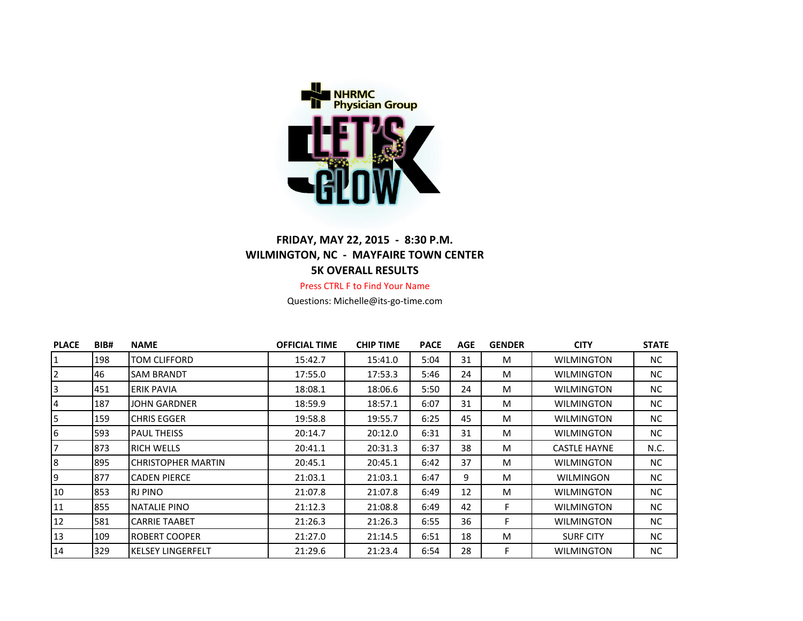

## **FRIDAY, MAY 22, 2015 - 8:30 P.M. WILMINGTON, NC - MAYFAIRE TOWN CENTER 5K OVERALL RESULTS**

Press CTRL F to Find Your Name

Questions: Michelle@its-go-time.com

| <b>PLACE</b>   | BIB# | <b>NAME</b>               | <b>OFFICIAL TIME</b> | <b>CHIP TIME</b> | <b>PACE</b> | AGE | <b>GENDER</b> | <b>CITY</b>         | <b>STATE</b> |
|----------------|------|---------------------------|----------------------|------------------|-------------|-----|---------------|---------------------|--------------|
| 1              | 198  | TOM CLIFFORD              | 15:42.7              | 15:41.0          | 5:04        | 31  | M             | <b>WILMINGTON</b>   | NC           |
| 2              | 46   | <b>SAM BRANDT</b>         | 17:55.0              | 17:53.3          | 5:46        | 24  | M             | <b>WILMINGTON</b>   | NC           |
| 3              | 451  | ERIK PAVIA                | 18:08.1              | 18:06.6          | 5:50        | 24  | M             | <b>WILMINGTON</b>   | NC.          |
| 4              | 187  | JOHN GARDNER              | 18:59.9              | 18:57.1          | 6:07        | 31  | M             | <b>WILMINGTON</b>   | NC.          |
| 5              | 159  | CHRIS EGGER               | 19:58.8              | 19:55.7          | 6:25        | 45  | M             | <b>WILMINGTON</b>   | NC.          |
| 6              | 593  | <b>PAUL THEISS</b>        | 20:14.7              | 20:12.0          | 6:31        | 31  | M             | <b>WILMINGTON</b>   | NC.          |
| $\overline{7}$ | 873  | <b>RICH WELLS</b>         | 20:41.1              | 20:31.3          | 6:37        | 38  | M             | <b>CASTLE HAYNE</b> | N.C.         |
| 8              | 895  | <b>CHRISTOPHER MARTIN</b> | 20:45.1              | 20:45.1          | 6:42        | 37  | M             | <b>WILMINGTON</b>   | NC.          |
| 9              | 877  | <b>CADEN PIERCE</b>       | 21:03.1              | 21:03.1          | 6:47        | 9   | M             | WILMINGON           | NC.          |
| 10             | 853  | <b>RJ PINO</b>            | 21:07.8              | 21:07.8          | 6:49        | 12  | M             | <b>WILMINGTON</b>   | NC.          |
| 11             | 855  | NATALIE PINO              | 21:12.3              | 21:08.8          | 6:49        | 42  | F             | <b>WILMINGTON</b>   | NC.          |
| 12             | 581  | <b>CARRIE TAABET</b>      | 21:26.3              | 21:26.3          | 6:55        | 36  | F             | <b>WILMINGTON</b>   | NC.          |
| 13             | 109  | ROBERT COOPER             | 21:27.0              | 21:14.5          | 6:51        | 18  | M             | <b>SURF CITY</b>    | NC.          |
| 14             | 329  | <b>KELSEY LINGERFELT</b>  | 21:29.6              | 21:23.4          | 6:54        | 28  | F             | <b>WILMINGTON</b>   | NC.          |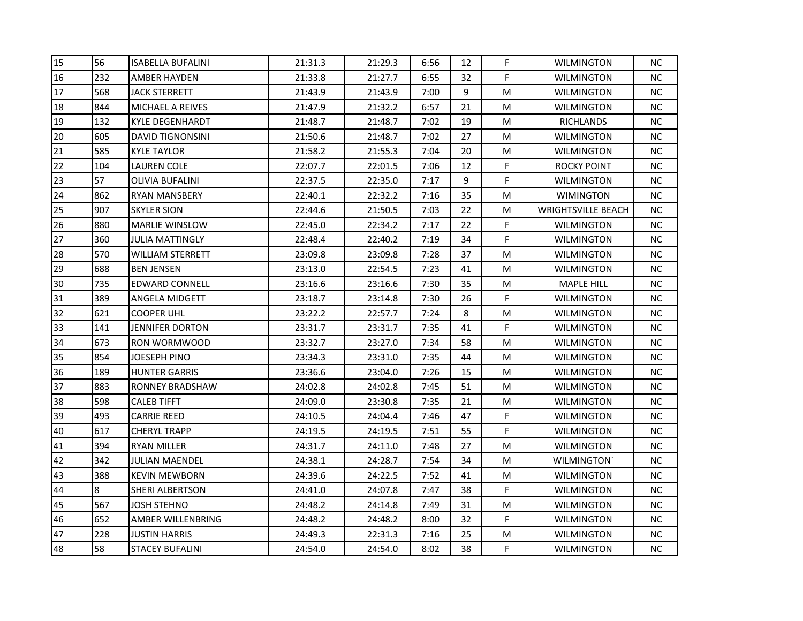| 15 | 56  | <b>ISABELLA BUFALINI</b> | 21:31.3 | 21:29.3 | 6:56 | 12 | F  | <b>WILMINGTON</b>         | <b>NC</b> |
|----|-----|--------------------------|---------|---------|------|----|----|---------------------------|-----------|
| 16 | 232 | <b>AMBER HAYDEN</b>      | 21:33.8 | 21:27.7 | 6:55 | 32 | F. | <b>WILMINGTON</b>         | <b>NC</b> |
| 17 | 568 | <b>JACK STERRETT</b>     | 21:43.9 | 21:43.9 | 7:00 | 9  | M  | <b>WILMINGTON</b>         | <b>NC</b> |
| 18 | 844 | MICHAEL A REIVES         | 21:47.9 | 21:32.2 | 6:57 | 21 | M  | WILMINGTON                | <b>NC</b> |
| 19 | 132 | <b>KYLE DEGENHARDT</b>   | 21:48.7 | 21:48.7 | 7:02 | 19 | M  | <b>RICHLANDS</b>          | <b>NC</b> |
| 20 | 605 | <b>DAVID TIGNONSINI</b>  | 21:50.6 | 21:48.7 | 7:02 | 27 | M  | WILMINGTON                | <b>NC</b> |
| 21 | 585 | <b>KYLE TAYLOR</b>       | 21:58.2 | 21:55.3 | 7:04 | 20 | M  | <b>WILMINGTON</b>         | <b>NC</b> |
| 22 | 104 | <b>LAUREN COLE</b>       | 22:07.7 | 22:01.5 | 7:06 | 12 | F  | <b>ROCKY POINT</b>        | <b>NC</b> |
| 23 | 57  | <b>OLIVIA BUFALINI</b>   | 22:37.5 | 22:35.0 | 7:17 | 9  | F. | <b>WILMINGTON</b>         | <b>NC</b> |
| 24 | 862 | <b>RYAN MANSBERY</b>     | 22:40.1 | 22:32.2 | 7:16 | 35 | M  | <b>WIMINGTON</b>          | <b>NC</b> |
| 25 | 907 | <b>SKYLER SION</b>       | 22:44.6 | 21:50.5 | 7:03 | 22 | M  | <b>WRIGHTSVILLE BEACH</b> | NC.       |
| 26 | 880 | <b>MARLIE WINSLOW</b>    | 22:45.0 | 22:34.2 | 7:17 | 22 | F. | WILMINGTON                | <b>NC</b> |
| 27 | 360 | <b>JULIA MATTINGLY</b>   | 22:48.4 | 22:40.2 | 7:19 | 34 | F  | <b>WILMINGTON</b>         | <b>NC</b> |
| 28 | 570 | <b>WILLIAM STERRETT</b>  | 23:09.8 | 23:09.8 | 7:28 | 37 | M  | <b>WILMINGTON</b>         | <b>NC</b> |
| 29 | 688 | <b>BEN JENSEN</b>        | 23:13.0 | 22:54.5 | 7:23 | 41 | M  | WILMINGTON                | <b>NC</b> |
| 30 | 735 | EDWARD CONNELL           | 23:16.6 | 23:16.6 | 7:30 | 35 | M  | <b>MAPLE HILL</b>         | NС        |
| 31 | 389 | ANGELA MIDGETT           | 23:18.7 | 23:14.8 | 7:30 | 26 | F  | WILMINGTON                | NC.       |
| 32 | 621 | <b>COOPER UHL</b>        | 23:22.2 | 22:57.7 | 7:24 | 8  | M  | <b>WILMINGTON</b>         | <b>NC</b> |
| 33 | 141 | <b>JENNIFER DORTON</b>   | 23:31.7 | 23:31.7 | 7:35 | 41 | F  | <b>WILMINGTON</b>         | <b>NC</b> |
| 34 | 673 | RON WORMWOOD             | 23:32.7 | 23:27.0 | 7:34 | 58 | M  | WILMINGTON                | NC.       |
| 35 | 854 | JOESEPH PINO             | 23:34.3 | 23:31.0 | 7:35 | 44 | M  | WILMINGTON                | <b>NC</b> |
| 36 | 189 | <b>HUNTER GARRIS</b>     | 23:36.6 | 23:04.0 | 7:26 | 15 | M  | <b>WILMINGTON</b>         | <b>NC</b> |
| 37 | 883 | <b>RONNEY BRADSHAW</b>   | 24:02.8 | 24:02.8 | 7:45 | 51 | M  | <b>WILMINGTON</b>         | <b>NC</b> |
| 38 | 598 | <b>CALEB TIFFT</b>       | 24:09.0 | 23:30.8 | 7:35 | 21 | M  | <b>WILMINGTON</b>         | <b>NC</b> |
| 39 | 493 | <b>CARRIE REED</b>       | 24:10.5 | 24:04.4 | 7:46 | 47 | F  | WILMINGTON                | NС        |
| 40 | 617 | <b>CHERYL TRAPP</b>      | 24:19.5 | 24:19.5 | 7:51 | 55 | F  | WILMINGTON                | NC.       |
| 41 | 394 | RYAN MILLER              | 24:31.7 | 24:11.0 | 7:48 | 27 | M  | WILMINGTON                | <b>NC</b> |
| 42 | 342 | <b>JULIAN MAENDEL</b>    | 24:38.1 | 24:28.7 | 7:54 | 34 | M  | WILMINGTON'               | <b>NC</b> |
| 43 | 388 | <b>KEVIN MEWBORN</b>     | 24:39.6 | 24:22.5 | 7:52 | 41 | M  | <b>WILMINGTON</b>         | <b>NC</b> |
| 44 | 8   | <b>SHERI ALBERTSON</b>   | 24:41.0 | 24:07.8 | 7:47 | 38 | F. | WILMINGTON                | <b>NC</b> |
| 45 | 567 | <b>JOSH STEHNO</b>       | 24:48.2 | 24:14.8 | 7:49 | 31 | M  | <b>WILMINGTON</b>         | <b>NC</b> |
| 46 | 652 | AMBER WILLENBRING        | 24:48.2 | 24:48.2 | 8:00 | 32 | F. | WILMINGTON                | <b>NC</b> |
| 47 | 228 | <b>JUSTIN HARRIS</b>     | 24:49.3 | 22:31.3 | 7:16 | 25 | M  | <b>WILMINGTON</b>         | <b>NC</b> |
| 48 | 58  | <b>STACEY BUFALINI</b>   | 24:54.0 | 24:54.0 | 8:02 | 38 | F  | <b>WILMINGTON</b>         | <b>NC</b> |
|    |     |                          |         |         |      |    |    |                           |           |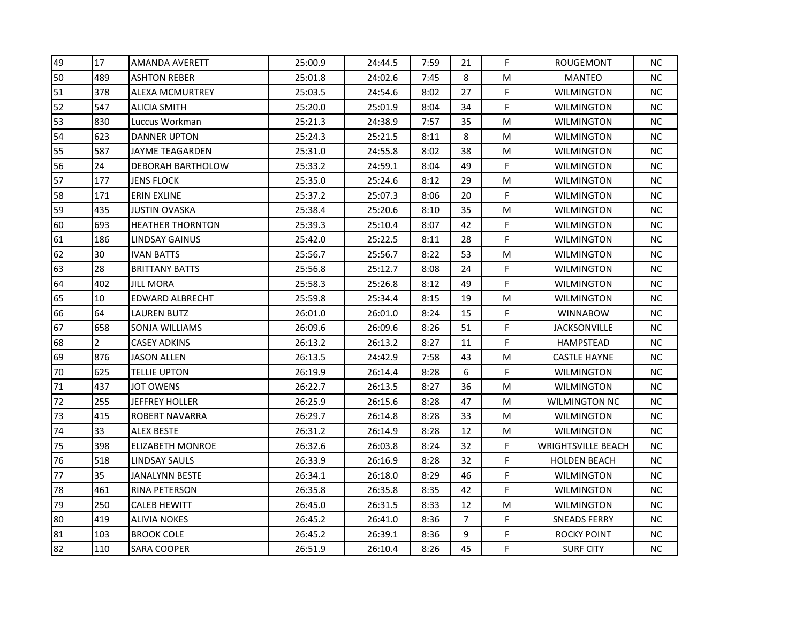| 49 | 17             | <b>AMANDA AVERETT</b>   | 25:00.9 | 24:44.5 | 7:59 | 21 | F  | ROUGEMONT                 | <b>NC</b> |
|----|----------------|-------------------------|---------|---------|------|----|----|---------------------------|-----------|
| 50 | 489            | <b>ASHTON REBER</b>     | 25:01.8 | 24:02.6 | 7:45 | 8  | M  | <b>MANTEO</b>             | <b>NC</b> |
| 51 | 378            | <b>ALEXA MCMURTREY</b>  | 25:03.5 | 24:54.6 | 8:02 | 27 | F. | <b>WILMINGTON</b>         | <b>NC</b> |
| 52 | 547            | <b>ALICIA SMITH</b>     | 25:20.0 | 25:01.9 | 8:04 | 34 | F  | <b>WILMINGTON</b>         | NC        |
| 53 | 830            | Luccus Workman          | 25:21.3 | 24:38.9 | 7:57 | 35 | M  | <b>WILMINGTON</b>         | <b>NC</b> |
| 54 | 623            | <b>DANNER UPTON</b>     | 25:24.3 | 25:21.5 | 8:11 | 8  | M  | <b>WILMINGTON</b>         | <b>NC</b> |
| 55 | 587            | <b>JAYME TEAGARDEN</b>  | 25:31.0 | 24:55.8 | 8:02 | 38 | М  | <b>WILMINGTON</b>         | <b>NC</b> |
| 56 | 24             | DEBORAH BARTHOLOW       | 25:33.2 | 24:59.1 | 8:04 | 49 | F  | <b>WILMINGTON</b>         | <b>NC</b> |
| 57 | 177            | <b>JENS FLOCK</b>       | 25:35.0 | 25:24.6 | 8:12 | 29 | M  | <b>WILMINGTON</b>         | <b>NC</b> |
| 58 | 171            | <b>ERIN EXLINE</b>      | 25:37.2 | 25:07.3 | 8:06 | 20 | F  | <b>WILMINGTON</b>         | <b>NC</b> |
| 59 | 435            | <b>JUSTIN OVASKA</b>    | 25:38.4 | 25:20.6 | 8:10 | 35 | M  | <b>WILMINGTON</b>         | NС        |
| 60 | 693            | <b>HEATHER THORNTON</b> | 25:39.3 | 25:10.4 | 8:07 | 42 | F  | <b>WILMINGTON</b>         | NC        |
| 61 | 186            | <b>LINDSAY GAINUS</b>   | 25:42.0 | 25:22.5 | 8:11 | 28 | F. | <b>WILMINGTON</b>         | <b>NC</b> |
| 62 | 30             | <b>IVAN BATTS</b>       | 25:56.7 | 25:56.7 | 8:22 | 53 | M  | <b>WILMINGTON</b>         | <b>NC</b> |
| 63 | 28             | <b>BRITTANY BATTS</b>   | 25:56.8 | 25:12.7 | 8:08 | 24 | F  | <b>WILMINGTON</b>         | <b>NC</b> |
| 64 | 402            | <b>JILL MORA</b>        | 25:58.3 | 25:26.8 | 8:12 | 49 | F  | <b>WILMINGTON</b>         | NС        |
| 65 | 10             | EDWARD ALBRECHT         | 25:59.8 | 25:34.4 | 8:15 | 19 | M  | <b>WILMINGTON</b>         | NС        |
| 66 | 64             | <b>LAUREN BUTZ</b>      | 26:01.0 | 26:01.0 | 8:24 | 15 | F  | <b>WINNABOW</b>           | <b>NC</b> |
| 67 | 658            | <b>SONJA WILLIAMS</b>   | 26:09.6 | 26:09.6 | 8:26 | 51 | F  | <b>JACKSONVILLE</b>       | <b>NC</b> |
| 68 | $\overline{2}$ | <b>CASEY ADKINS</b>     | 26:13.2 | 26:13.2 | 8:27 | 11 | F  | HAMPSTEAD                 | ΝC        |
| 69 | 876            | <b>JASON ALLEN</b>      | 26:13.5 | 24:42.9 | 7:58 | 43 | M  | <b>CASTLE HAYNE</b>       | NC        |
| 70 | 625            | <b>TELLIE UPTON</b>     | 26:19.9 | 26:14.4 | 8:28 | 6  | F  | <b>WILMINGTON</b>         | NC        |
| 71 | 437            | <b>JOT OWENS</b>        | 26:22.7 | 26:13.5 | 8:27 | 36 | M  | <b>WILMINGTON</b>         | <b>NC</b> |
| 72 | 255            | <b>JEFFREY HOLLER</b>   | 26:25.9 | 26:15.6 | 8:28 | 47 | М  | <b>WILMINGTON NC</b>      | <b>NC</b> |
| 73 | 415            | <b>ROBERT NAVARRA</b>   | 26:29.7 | 26:14.8 | 8:28 | 33 | M  | <b>WILMINGTON</b>         | NС        |
| 74 | 33             | ALEX BESTE              | 26:31.2 | 26:14.9 | 8:28 | 12 | M  | <b>WILMINGTON</b>         | NС        |
| 75 | 398            | <b>ELIZABETH MONROE</b> | 26:32.6 | 26:03.8 | 8:24 | 32 | F  | <b>WRIGHTSVILLE BEACH</b> | NC        |
| 76 | 518            | LINDSAY SAULS           | 26:33.9 | 26:16.9 | 8:28 | 32 | F  | <b>HOLDEN BEACH</b>       | <b>NC</b> |
| 77 | 35             | <b>JANALYNN BESTE</b>   | 26:34.1 | 26:18.0 | 8:29 | 46 | F  | <b>WILMINGTON</b>         | <b>NC</b> |
| 78 | 461            | <b>RINA PETERSON</b>    | 26:35.8 | 26:35.8 | 8:35 | 42 | F  | <b>WILMINGTON</b>         | NC        |
| 79 | 250            | <b>CALEB HEWITT</b>     | 26:45.0 | 26:31.5 | 8:33 | 12 | M  | <b>WILMINGTON</b>         | <b>NC</b> |
| 80 | 419            | <b>ALIVIA NOKES</b>     | 26:45.2 | 26:41.0 | 8:36 | 7  | F  | SNEADS FERRY              | NC        |
| 81 | 103            | <b>BROOK COLE</b>       | 26:45.2 | 26:39.1 | 8:36 | 9  | F  | <b>ROCKY POINT</b>        | <b>NC</b> |
| 82 | 110            | <b>SARA COOPER</b>      | 26:51.9 | 26:10.4 | 8:26 | 45 | F  | <b>SURF CITY</b>          | <b>NC</b> |
|    |                |                         |         |         |      |    |    |                           |           |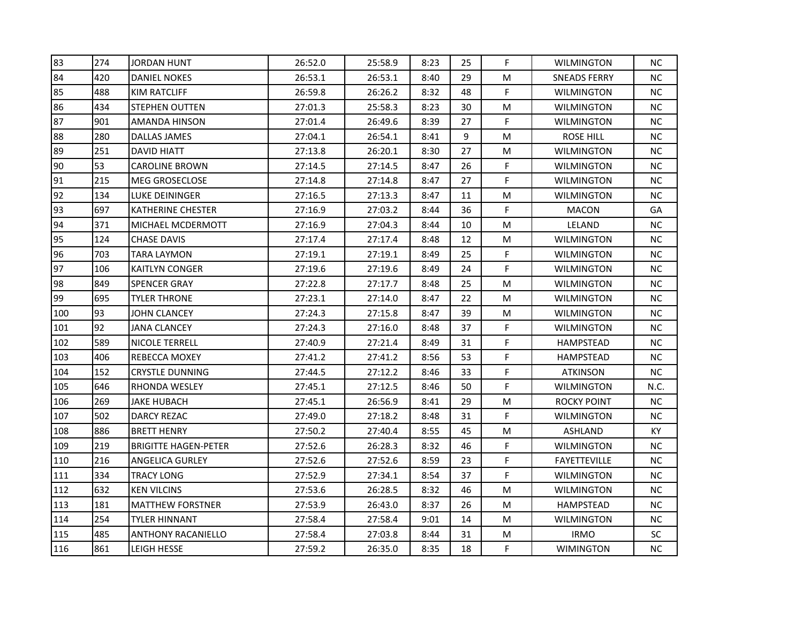| 83  | 274 | <b>JORDAN HUNT</b>          | 26:52.0 | 25:58.9 | 8:23 | 25 | F  | <b>WILMINGTON</b>   | <b>NC</b> |
|-----|-----|-----------------------------|---------|---------|------|----|----|---------------------|-----------|
| 84  | 420 | <b>DANIEL NOKES</b>         | 26:53.1 | 26:53.1 | 8:40 | 29 | м  | <b>SNEADS FERRY</b> | <b>NC</b> |
| 85  | 488 | KIM RATCLIFF                | 26:59.8 | 26:26.2 | 8:32 | 48 | F. | <b>WILMINGTON</b>   | <b>NC</b> |
| 86  | 434 | <b>STEPHEN OUTTEN</b>       | 27:01.3 | 25:58.3 | 8:23 | 30 | M  | <b>WILMINGTON</b>   | NC        |
| 87  | 901 | AMANDA HINSON               | 27:01.4 | 26:49.6 | 8:39 | 27 | F  | <b>WILMINGTON</b>   | <b>NC</b> |
| 88  | 280 | DALLAS JAMES                | 27:04.1 | 26:54.1 | 8:41 | 9  | м  | <b>ROSE HILL</b>    | NC        |
| 89  | 251 | <b>DAVID HIATT</b>          | 27:13.8 | 26:20.1 | 8:30 | 27 | Μ  | <b>WILMINGTON</b>   | <b>NC</b> |
| 90  | 53  | <b>CAROLINE BROWN</b>       | 27:14.5 | 27:14.5 | 8:47 | 26 | F  | <b>WILMINGTON</b>   | <b>NC</b> |
| 91  | 215 | <b>MEG GROSECLOSE</b>       | 27:14.8 | 27:14.8 | 8:47 | 27 | F. | <b>WILMINGTON</b>   | <b>NC</b> |
| 92  | 134 | LUKE DEININGER              | 27:16.5 | 27:13.3 | 8:47 | 11 | Μ  | <b>WILMINGTON</b>   | NC.       |
| 93  | 697 | KATHERINE CHESTER           | 27:16.9 | 27:03.2 | 8:44 | 36 | F  | <b>MACON</b>        | GA        |
| 94  | 371 | MICHAEL MCDERMOTT           | 27:16.9 | 27:04.3 | 8:44 | 10 | M  | LELAND              | NC        |
| 95  | 124 | <b>CHASE DAVIS</b>          | 27:17.4 | 27:17.4 | 8:48 | 12 | Μ  | <b>WILMINGTON</b>   | <b>NC</b> |
| 96  | 703 | TARA LAYMON                 | 27:19.1 | 27:19.1 | 8:49 | 25 | F  | <b>WILMINGTON</b>   | <b>NC</b> |
| 97  | 106 | <b>KAITLYN CONGER</b>       | 27:19.6 | 27:19.6 | 8:49 | 24 | F  | <b>WILMINGTON</b>   | <b>NC</b> |
| 98  | 849 | <b>SPENCER GRAY</b>         | 27:22.8 | 27:17.7 | 8:48 | 25 | M  | <b>WILMINGTON</b>   | NС        |
| 99  | 695 | <b>TYLER THRONE</b>         | 27:23.1 | 27:14.0 | 8:47 | 22 | м  | <b>WILMINGTON</b>   | NС        |
| 100 | 93  | JOHN CLANCEY                | 27:24.3 | 27:15.8 | 8:47 | 39 | М  | <b>WILMINGTON</b>   | NC        |
| 101 | 92  | <b>JANA CLANCEY</b>         | 27:24.3 | 27:16.0 | 8:48 | 37 | F  | <b>WILMINGTON</b>   | NC        |
| 102 | 589 | NICOLE TERRELL              | 27:40.9 | 27:21.4 | 8:49 | 31 | F  | <b>HAMPSTEAD</b>    | <b>NC</b> |
| 103 | 406 | REBECCA MOXEY               | 27:41.2 | 27:41.2 | 8:56 | 53 | F  | HAMPSTEAD           | NC.       |
| 104 | 152 | <b>CRYSTLE DUNNING</b>      | 27:44.5 | 27:12.2 | 8:46 | 33 | F  | <b>ATKINSON</b>     | <b>NC</b> |
| 105 | 646 | RHONDA WESLEY               | 27:45.1 | 27:12.5 | 8:46 | 50 | F  | <b>WILMINGTON</b>   | N.C.      |
| 106 | 269 | <b>JAKE HUBACH</b>          | 27:45.1 | 26:56.9 | 8:41 | 29 | M  | <b>ROCKY POINT</b>  | <b>NC</b> |
| 107 | 502 | DARCY REZAC                 | 27:49.0 | 27:18.2 | 8:48 | 31 | F  | <b>WILMINGTON</b>   | NC        |
| 108 | 886 | <b>BRETT HENRY</b>          | 27:50.2 | 27:40.4 | 8:55 | 45 | м  | ASHLAND             | KY.       |
| 109 | 219 | <b>BRIGITTE HAGEN-PETER</b> | 27:52.6 | 26:28.3 | 8:32 | 46 | F  | WILMINGTON          | NC        |
| 110 | 216 | <b>ANGELICA GURLEY</b>      | 27:52.6 | 27:52.6 | 8:59 | 23 | F  | <b>FAYETTEVILLE</b> | <b>NC</b> |
| 111 | 334 | <b>TRACY LONG</b>           | 27:52.9 | 27:34.1 | 8:54 | 37 | F  | <b>WILMINGTON</b>   | <b>NC</b> |
| 112 | 632 | <b>KEN VILCINS</b>          | 27:53.6 | 26:28.5 | 8:32 | 46 | M  | <b>WILMINGTON</b>   | NC        |
| 113 | 181 | <b>MATTHEW FORSTNER</b>     | 27:53.9 | 26:43.0 | 8:37 | 26 | м  | HAMPSTEAD           | NC.       |
| 114 | 254 | <b>TYLER HINNANT</b>        | 27:58.4 | 27:58.4 | 9:01 | 14 | M  | <b>WILMINGTON</b>   | NC.       |
| 115 | 485 | <b>ANTHONY RACANIELLO</b>   | 27:58.4 | 27:03.8 | 8:44 | 31 | M  | <b>IRMO</b>         | <b>SC</b> |
| 116 | 861 | LEIGH HESSE                 | 27:59.2 | 26:35.0 | 8:35 | 18 | F  | <b>WIMINGTON</b>    | NC        |
|     |     |                             |         |         |      |    |    |                     |           |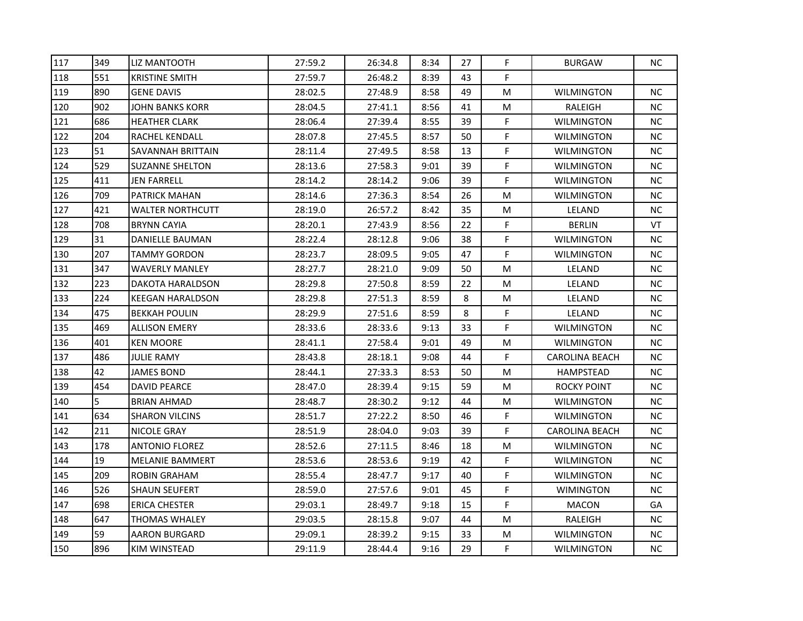| 117 | 349 | LIZ MANTOOTH            | 27:59.2 | 26:34.8 | 8:34 | 27 | F. | <b>BURGAW</b>         | <b>NC</b> |
|-----|-----|-------------------------|---------|---------|------|----|----|-----------------------|-----------|
| 118 | 551 | <b>KRISTINE SMITH</b>   | 27:59.7 | 26:48.2 | 8:39 | 43 | F. |                       |           |
| 119 | 890 | <b>GENE DAVIS</b>       | 28:02.5 | 27:48.9 | 8:58 | 49 | M  | <b>WILMINGTON</b>     | <b>NC</b> |
| 120 | 902 | <b>JOHN BANKS KORR</b>  | 28:04.5 | 27:41.1 | 8:56 | 41 | M  | RALEIGH               | <b>NC</b> |
| 121 | 686 | <b>HEATHER CLARK</b>    | 28:06.4 | 27:39.4 | 8:55 | 39 | F  | <b>WILMINGTON</b>     | <b>NC</b> |
| 122 | 204 | RACHEL KENDALL          | 28:07.8 | 27:45.5 | 8:57 | 50 | F  | WILMINGTON            | <b>NC</b> |
| 123 | 51  | SAVANNAH BRITTAIN       | 28:11.4 | 27:49.5 | 8:58 | 13 | F  | <b>WILMINGTON</b>     | <b>NC</b> |
| 124 | 529 | <b>SUZANNE SHELTON</b>  | 28:13.6 | 27:58.3 | 9:01 | 39 | F  | <b>WILMINGTON</b>     | <b>NC</b> |
| 125 | 411 | <b>JEN FARRELL</b>      | 28:14.2 | 28:14.2 | 9:06 | 39 | F. | <b>WILMINGTON</b>     | <b>NC</b> |
| 126 | 709 | <b>PATRICK MAHAN</b>    | 28:14.6 | 27:36.3 | 8:54 | 26 | M  | <b>WILMINGTON</b>     | <b>NC</b> |
| 127 | 421 | <b>WALTER NORTHCUTT</b> | 28:19.0 | 26:57.2 | 8:42 | 35 | М  | LELAND                | <b>NC</b> |
| 128 | 708 | <b>BRYNN CAYIA</b>      | 28:20.1 | 27:43.9 | 8:56 | 22 | F  | <b>BERLIN</b>         | VT        |
| 129 | 31  | <b>DANIELLE BAUMAN</b>  | 28:22.4 | 28:12.8 | 9:06 | 38 | F  | <b>WILMINGTON</b>     | <b>NC</b> |
| 130 | 207 | <b>TAMMY GORDON</b>     | 28:23.7 | 28:09.5 | 9:05 | 47 | F. | <b>WILMINGTON</b>     | <b>NC</b> |
| 131 | 347 | <b>WAVERLY MANLEY</b>   | 28:27.7 | 28:21.0 | 9:09 | 50 | M  | LELAND                | <b>NC</b> |
| 132 | 223 | DAKOTA HARALDSON        | 28:29.8 | 27:50.8 | 8:59 | 22 | M  | LELAND                | <b>NC</b> |
| 133 | 224 | <b>KEEGAN HARALDSON</b> | 28:29.8 | 27:51.3 | 8:59 | 8  | M  | LELAND                | <b>NC</b> |
| 134 | 475 | <b>BEKKAH POULIN</b>    | 28:29.9 | 27:51.6 | 8:59 | 8  | F  | LELAND                | <b>NC</b> |
| 135 | 469 | <b>ALLISON EMERY</b>    | 28:33.6 | 28:33.6 | 9:13 | 33 | F  | <b>WILMINGTON</b>     | <b>NC</b> |
| 136 | 401 | <b>KEN MOORE</b>        | 28:41.1 | 27:58.4 | 9:01 | 49 | M  | <b>WILMINGTON</b>     | <b>NC</b> |
| 137 | 486 | JULIE RAMY              | 28:43.8 | 28:18.1 | 9:08 | 44 | F  | <b>CAROLINA BEACH</b> | NC.       |
| 138 | 42  | <b>JAMES BOND</b>       | 28:44.1 | 27:33.3 | 8:53 | 50 | M  | HAMPSTEAD             | <b>NC</b> |
| 139 | 454 | <b>DAVID PEARCE</b>     | 28:47.0 | 28:39.4 | 9:15 | 59 | М  | <b>ROCKY POINT</b>    | <b>NC</b> |
| 140 | 5   | <b>BRIAN AHMAD</b>      | 28:48.7 | 28:30.2 | 9:12 | 44 | M  | <b>WILMINGTON</b>     | <b>NC</b> |
| 141 | 634 | <b>SHARON VILCINS</b>   | 28:51.7 | 27:22.2 | 8:50 | 46 | F  | <b>WILMINGTON</b>     | <b>NC</b> |
| 142 | 211 | NICOLE GRAY             | 28:51.9 | 28:04.0 | 9:03 | 39 | F  | CAROLINA BEACH        | <b>NC</b> |
| 143 | 178 | <b>ANTONIO FLOREZ</b>   | 28:52.6 | 27:11.5 | 8:46 | 18 | M  | <b>WILMINGTON</b>     | <b>NC</b> |
| 144 | 19  | MELANIE BAMMERT         | 28:53.6 | 28:53.6 | 9:19 | 42 | F  | <b>WILMINGTON</b>     | <b>NC</b> |
| 145 | 209 | <b>ROBIN GRAHAM</b>     | 28:55.4 | 28:47.7 | 9:17 | 40 | F  | <b>WILMINGTON</b>     | <b>NC</b> |
| 146 | 526 | <b>SHAUN SEUFERT</b>    | 28:59.0 | 27:57.6 | 9:01 | 45 | F  | <b>WIMINGTON</b>      | <b>NC</b> |
| 147 | 698 | <b>ERICA CHESTER</b>    | 29:03.1 | 28:49.7 | 9:18 | 15 | F  | <b>MACON</b>          | GA        |
| 148 | 647 | THOMAS WHALEY           | 29:03.5 | 28:15.8 | 9:07 | 44 | М  | RALEIGH               | <b>NC</b> |
| 149 | 59  | <b>AARON BURGARD</b>    | 29:09.1 | 28:39.2 | 9:15 | 33 | M  | <b>WILMINGTON</b>     | <b>NC</b> |
| 150 | 896 | <b>KIM WINSTEAD</b>     | 29:11.9 | 28:44.4 | 9:16 | 29 | F  | <b>WILMINGTON</b>     | <b>NC</b> |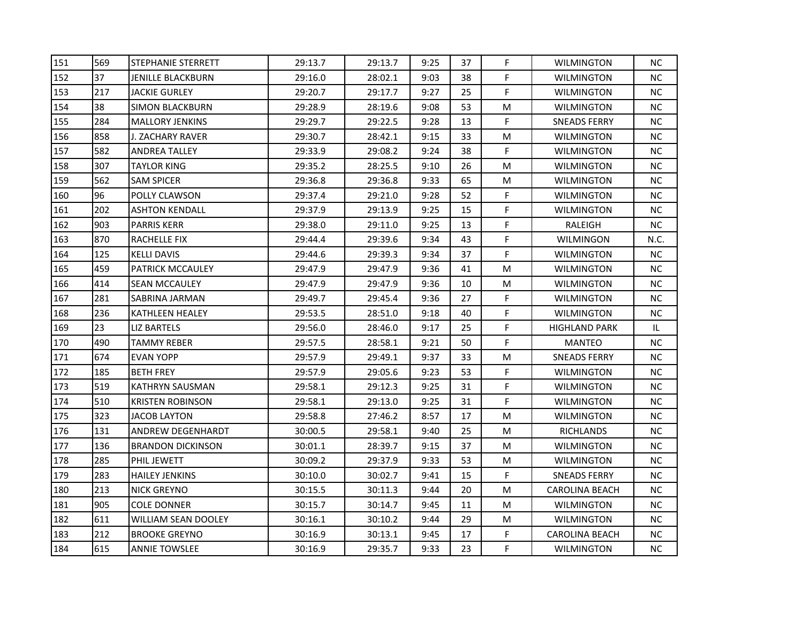| 151 | 569 | STEPHANIE STERRETT       | 29:13.7 | 29:13.7 | 9:25 | 37 | F           | <b>WILMINGTON</b>     | <b>NC</b> |
|-----|-----|--------------------------|---------|---------|------|----|-------------|-----------------------|-----------|
| 152 | 37  | JENILLE BLACKBURN        | 29:16.0 | 28:02.1 | 9:03 | 38 | F           | <b>WILMINGTON</b>     | <b>NC</b> |
| 153 | 217 | <b>JACKIE GURLEY</b>     | 29:20.7 | 29:17.7 | 9:27 | 25 | $\mathsf F$ | <b>WILMINGTON</b>     | <b>NC</b> |
| 154 | 38  | <b>SIMON BLACKBURN</b>   | 29:28.9 | 28:19.6 | 9:08 | 53 | М           | <b>WILMINGTON</b>     | ΝC        |
| 155 | 284 | <b>MALLORY JENKINS</b>   | 29:29.7 | 29:22.5 | 9:28 | 13 | F           | <b>SNEADS FERRY</b>   | <b>NC</b> |
| 156 | 858 | J. ZACHARY RAVER         | 29:30.7 | 28:42.1 | 9:15 | 33 | М           | <b>WILMINGTON</b>     | ΝC        |
| 157 | 582 | <b>ANDREA TALLEY</b>     | 29:33.9 | 29:08.2 | 9:24 | 38 | F           | <b>WILMINGTON</b>     | ΝC        |
| 158 | 307 | <b>TAYLOR KING</b>       | 29:35.2 | 28:25.5 | 9:10 | 26 | М           | <b>WILMINGTON</b>     | <b>NC</b> |
| 159 | 562 | <b>SAM SPICER</b>        | 29:36.8 | 29:36.8 | 9:33 | 65 | M           | <b>WILMINGTON</b>     | NC        |
| 160 | 96  | POLLY CLAWSON            | 29:37.4 | 29:21.0 | 9:28 | 52 | F           | <b>WILMINGTON</b>     | ΝC        |
| 161 | 202 | <b>ASHTON KENDALL</b>    | 29:37.9 | 29:13.9 | 9:25 | 15 | F           | <b>WILMINGTON</b>     | ΝC        |
| 162 | 903 | <b>PARRIS KERR</b>       | 29:38.0 | 29:11.0 | 9:25 | 13 | F           | RALEIGH               | ΝC        |
| 163 | 870 | RACHELLE FIX             | 29:44.4 | 29:39.6 | 9:34 | 43 | F           | WILMINGON             | N.C.      |
| 164 | 125 | <b>KELLI DAVIS</b>       | 29:44.6 | 29:39.3 | 9:34 | 37 | F           | <b>WILMINGTON</b>     | <b>NC</b> |
| 165 | 459 | PATRICK MCCAULEY         | 29:47.9 | 29:47.9 | 9:36 | 41 | М           | <b>WILMINGTON</b>     | ΝC        |
| 166 | 414 | <b>SEAN MCCAULEY</b>     | 29:47.9 | 29:47.9 | 9:36 | 10 | М           | WILMINGTON            | ΝC        |
| 167 | 281 | SABRINA JARMAN           | 29:49.7 | 29:45.4 | 9:36 | 27 | F           | <b>WILMINGTON</b>     | ΝC        |
| 168 | 236 | <b>KATHLEEN HEALEY</b>   | 29:53.5 | 28:51.0 | 9:18 | 40 | F           | <b>WILMINGTON</b>     | ΝC        |
| 169 | 23  | <b>LIZ BARTELS</b>       | 29:56.0 | 28:46.0 | 9:17 | 25 | F           | <b>HIGHLAND PARK</b>  | IL        |
| 170 | 490 | <b>TAMMY REBER</b>       | 29:57.5 | 28:58.1 | 9:21 | 50 | F           | <b>MANTEO</b>         | ΝC        |
| 171 | 674 | EVAN YOPP                | 29:57.9 | 29:49.1 | 9:37 | 33 | М           | <b>SNEADS FERRY</b>   | NС        |
| 172 | 185 | <b>BETH FREY</b>         | 29:57.9 | 29:05.6 | 9:23 | 53 | F           | <b>WILMINGTON</b>     | ΝC        |
| 173 | 519 | <b>KATHRYN SAUSMAN</b>   | 29:58.1 | 29:12.3 | 9:25 | 31 | F           | <b>WILMINGTON</b>     | ΝC        |
| 174 | 510 | <b>KRISTEN ROBINSON</b>  | 29:58.1 | 29:13.0 | 9:25 | 31 | F           | <b>WILMINGTON</b>     | ΝC        |
| 175 | 323 | <b>JACOB LAYTON</b>      | 29:58.8 | 27:46.2 | 8:57 | 17 | М           | <b>WILMINGTON</b>     | ΝC        |
| 176 | 131 | ANDREW DEGENHARDT        | 30:00.5 | 29:58.1 | 9:40 | 25 | М           | RICHLANDS             | NС        |
| 177 | 136 | <b>BRANDON DICKINSON</b> | 30:01.1 | 28:39.7 | 9:15 | 37 | М           | WILMINGTON            | ΝC        |
| 178 | 285 | PHIL JEWETT              | 30:09.2 | 29:37.9 | 9:33 | 53 | М           | <b>WILMINGTON</b>     | ΝC        |
| 179 | 283 | <b>HAILEY JENKINS</b>    | 30:10.0 | 30:02.7 | 9:41 | 15 | F           | <b>SNEADS FERRY</b>   | ΝC        |
| 180 | 213 | <b>NICK GREYNO</b>       | 30:15.5 | 30:11.3 | 9:44 | 20 | М           | CAROLINA BEACH        | <b>NC</b> |
| 181 | 905 | <b>COLE DONNER</b>       | 30:15.7 | 30:14.7 | 9:45 | 11 | М           | <b>WILMINGTON</b>     | ΝC        |
| 182 | 611 | WILLIAM SEAN DOOLEY      | 30:16.1 | 30:10.2 | 9:44 | 29 | M           | <b>WILMINGTON</b>     | ΝC        |
| 183 | 212 | <b>BROOKE GREYNO</b>     | 30:16.9 | 30:13.1 | 9:45 | 17 | F           | <b>CAROLINA BEACH</b> | ΝC        |
| 184 | 615 | <b>ANNIE TOWSLEE</b>     | 30:16.9 | 29:35.7 | 9:33 | 23 | F           | <b>WILMINGTON</b>     | ΝC        |
|     |     |                          |         |         |      |    |             |                       |           |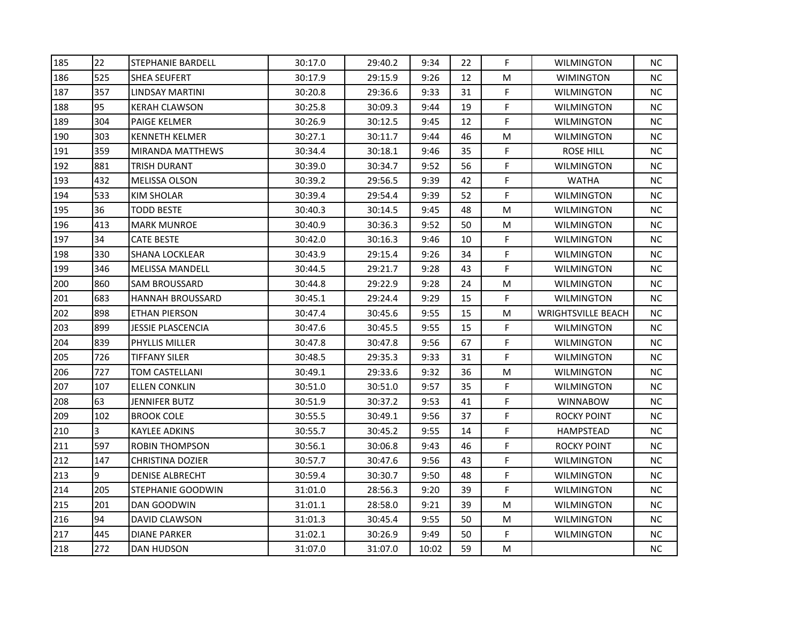| 185 | 22  | <b>STEPHANIE BARDELL</b> | 30:17.0 | 29:40.2 | 9:34 | 22 | F. | <b>WILMINGTON</b>         | ΝC        |
|-----|-----|--------------------------|---------|---------|------|----|----|---------------------------|-----------|
| 186 | 525 | <b>SHEA SEUFERT</b>      | 30:17.9 | 29:15.9 | 9:26 | 12 | М  | <b>WIMINGTON</b>          | ΝC        |
| 187 | 357 | <b>LINDSAY MARTINI</b>   | 30:20.8 | 29:36.6 | 9:33 | 31 | F  | <b>WILMINGTON</b>         | <b>NC</b> |
| 188 | 95  | <b>KERAH CLAWSON</b>     | 30:25.8 | 30:09.3 | 9:44 | 19 | F  | <b>WILMINGTON</b>         | NC        |
| 189 | 304 | <b>PAIGE KELMER</b>      | 30:26.9 | 30:12.5 | 9:45 | 12 | F  | <b>WILMINGTON</b>         | NС        |
| 190 | 303 | <b>KENNETH KELMER</b>    | 30:27.1 | 30:11.7 | 9:44 | 46 | М  | <b>WILMINGTON</b>         | NС        |
| 191 | 359 | <b>MIRANDA MATTHEWS</b>  | 30:34.4 | 30:18.1 | 9:46 | 35 | F  | <b>ROSE HILL</b>          | NС        |
| 192 | 881 | <b>TRISH DURANT</b>      | 30:39.0 | 30:34.7 | 9:52 | 56 | F  | <b>WILMINGTON</b>         | <b>NC</b> |
| 193 | 432 | <b>MELISSA OLSON</b>     | 30:39.2 | 29:56.5 | 9:39 | 42 | F  | <b>WATHA</b>              | <b>NC</b> |
| 194 | 533 | KIM SHOLAR               | 30:39.4 | 29:54.4 | 9:39 | 52 | F  | <b>WILMINGTON</b>         | NС        |
| 195 | 36  | <b>TODD BESTE</b>        | 30:40.3 | 30:14.5 | 9:45 | 48 | М  | <b>WILMINGTON</b>         | NC.       |
| 196 | 413 | <b>MARK MUNROE</b>       | 30:40.9 | 30:36.3 | 9:52 | 50 | М  | <b>WILMINGTON</b>         | NC        |
| 197 | 34  | <b>CATE BESTE</b>        | 30:42.0 | 30:16.3 | 9:46 | 10 | F  | <b>WILMINGTON</b>         | <b>NC</b> |
| 198 | 330 | <b>SHANA LOCKLEAR</b>    | 30:43.9 | 29:15.4 | 9:26 | 34 | F  | <b>WILMINGTON</b>         | NC        |
| 199 | 346 | <b>MELISSA MANDELL</b>   | 30:44.5 | 29:21.7 | 9:28 | 43 | F  | <b>WILMINGTON</b>         | NС        |
| 200 | 860 | SAM BROUSSARD            | 30:44.8 | 29:22.9 | 9:28 | 24 | M  | WILMINGTON                | NС        |
| 201 | 683 | <b>HANNAH BROUSSARD</b>  | 30:45.1 | 29:24.4 | 9:29 | 15 | F  | <b>WILMINGTON</b>         | NC        |
| 202 | 898 | <b>ETHAN PIERSON</b>     | 30:47.4 | 30:45.6 | 9:55 | 15 | М  | <b>WRIGHTSVILLE BEACH</b> | <b>NC</b> |
| 203 | 899 | JESSIE PLASCENCIA        | 30:47.6 | 30:45.5 | 9:55 | 15 | F. | <b>WILMINGTON</b>         | <b>NC</b> |
| 204 | 839 | PHYLLIS MILLER           | 30:47.8 | 30:47.8 | 9:56 | 67 | F  | <b>WILMINGTON</b>         | NC        |
| 205 | 726 | TIFFANY SILER            | 30:48.5 | 29:35.3 | 9:33 | 31 | F  | <b>WILMINGTON</b>         | NС        |
| 206 | 727 | TOM CASTELLANI           | 30:49.1 | 29:33.6 | 9:32 | 36 | M  | <b>WILMINGTON</b>         | <b>NC</b> |
| 207 | 107 | <b>ELLEN CONKLIN</b>     | 30:51.0 | 30:51.0 | 9:57 | 35 | F  | <b>WILMINGTON</b>         | <b>NC</b> |
| 208 | 63  | <b>JENNIFER BUTZ</b>     | 30:51.9 | 30:37.2 | 9:53 | 41 | F  | <b>WINNABOW</b>           | <b>NC</b> |
| 209 | 102 | <b>BROOK COLE</b>        | 30:55.5 | 30:49.1 | 9:56 | 37 | F  | ROCKY POINT               | NC        |
| 210 | 3   | KAYLEE ADKINS            | 30:55.7 | 30:45.2 | 9:55 | 14 | F  | HAMPSTEAD                 | NС        |
| 211 | 597 | <b>ROBIN THOMPSON</b>    | 30:56.1 | 30:06.8 | 9:43 | 46 | F  | ROCKY POINT               | <b>NC</b> |
| 212 | 147 | <b>CHRISTINA DOZIER</b>  | 30:57.7 | 30:47.6 | 9:56 | 43 | F  | <b>WILMINGTON</b>         | <b>NC</b> |
| 213 | 9   | DENISE ALBRECHT          | 30:59.4 | 30:30.7 | 9:50 | 48 | F  | <b>WILMINGTON</b>         | <b>NC</b> |
| 214 | 205 | STEPHANIE GOODWIN        | 31:01.0 | 28:56.3 | 9:20 | 39 | F  | <b>WILMINGTON</b>         | NC        |
| 215 | 201 | DAN GOODWIN              | 31:01.1 | 28:58.0 | 9:21 | 39 | М  | <b>WILMINGTON</b>         | NC.       |
| 216 | 94  | DAVID CLAWSON            | 31:01.3 | 30:45.4 | 9:55 | 50 | M  | <b>WILMINGTON</b>         | NC.       |
|     |     |                          |         |         |      |    |    |                           |           |
| 217 | 445 | <b>DIANE PARKER</b>      | 31:02.1 | 30:26.9 | 9:49 | 50 | F  | <b>WILMINGTON</b>         | <b>NC</b> |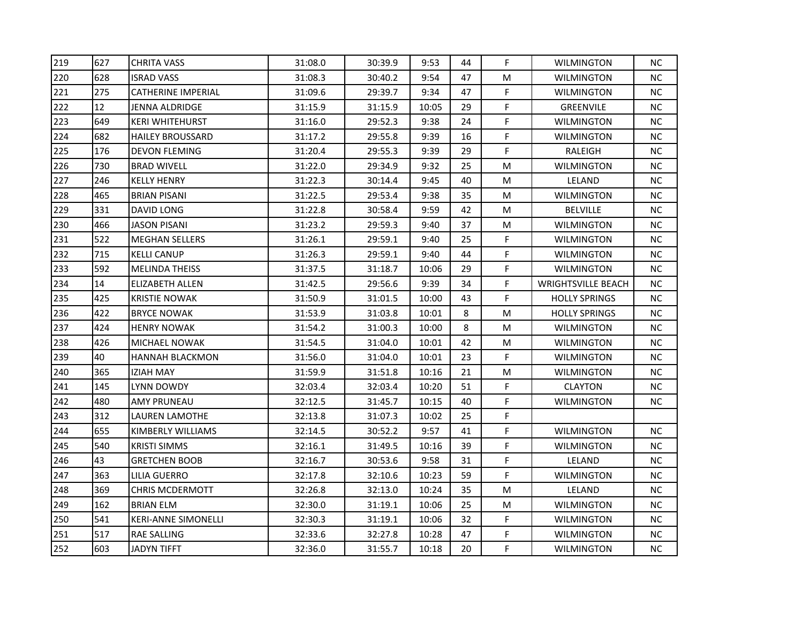| 219 | 627 | <b>CHRITA VASS</b>         | 31:08.0 | 30:39.9 | 9:53  | 44 | F. | <b>WILMINGTON</b>         | <b>NC</b> |
|-----|-----|----------------------------|---------|---------|-------|----|----|---------------------------|-----------|
| 220 | 628 | <b>ISRAD VASS</b>          | 31:08.3 | 30:40.2 | 9:54  | 47 | M  | WILMINGTON                | <b>NC</b> |
| 221 | 275 | <b>CATHERINE IMPERIAL</b>  | 31:09.6 | 29:39.7 | 9:34  | 47 | F  | <b>WILMINGTON</b>         | <b>NC</b> |
| 222 | 12  | <b>JENNA ALDRIDGE</b>      | 31:15.9 | 31:15.9 | 10:05 | 29 | F  | <b>GREENVILE</b>          | <b>NC</b> |
| 223 | 649 | <b>KERI WHITEHURST</b>     | 31:16.0 | 29:52.3 | 9:38  | 24 | F  | WILMINGTON                | NС        |
| 224 | 682 | <b>HAILEY BROUSSARD</b>    | 31:17.2 | 29:55.8 | 9:39  | 16 | F  | WILMINGTON                | NС        |
| 225 | 176 | <b>DEVON FLEMING</b>       | 31:20.4 | 29:55.3 | 9:39  | 29 | F  | RALEIGH                   | NС        |
| 226 | 730 | <b>BRAD WIVELL</b>         | 31:22.0 | 29:34.9 | 9:32  | 25 | M  | <b>WILMINGTON</b>         | <b>NC</b> |
| 227 | 246 | <b>KELLY HENRY</b>         | 31:22.3 | 30:14.4 | 9:45  | 40 | M  | LELAND                    | <b>NC</b> |
| 228 | 465 | <b>BRIAN PISANI</b>        | 31:22.5 | 29:53.4 | 9:38  | 35 | M  | <b>WILMINGTON</b>         | <b>NC</b> |
| 229 | 331 | DAVID LONG                 | 31:22.8 | 30:58.4 | 9:59  | 42 | M  | <b>BELVILLE</b>           | <b>NC</b> |
| 230 | 466 | <b>JASON PISANI</b>        | 31:23.2 | 29:59.3 | 9:40  | 37 | M  | <b>WILMINGTON</b>         | <b>NC</b> |
| 231 | 522 | <b>MEGHAN SELLERS</b>      | 31:26.1 | 29:59.1 | 9:40  | 25 | F  | <b>WILMINGTON</b>         | <b>NC</b> |
| 232 | 715 | <b>KELLI CANUP</b>         | 31:26.3 | 29:59.1 | 9:40  | 44 | F  | <b>WILMINGTON</b>         | <b>NC</b> |
| 233 | 592 | <b>MELINDA THEISS</b>      | 31:37.5 | 31:18.7 | 10:06 | 29 | F  | <b>WILMINGTON</b>         | <b>NC</b> |
| 234 | 14  | ELIZABETH ALLEN            | 31:42.5 | 29:56.6 | 9:39  | 34 | F. | <b>WRIGHTSVILLE BEACH</b> | <b>NC</b> |
| 235 | 425 | <b>KRISTIE NOWAK</b>       | 31:50.9 | 31:01.5 | 10:00 | 43 | F  | <b>HOLLY SPRINGS</b>      | <b>NC</b> |
| 236 | 422 | <b>BRYCE NOWAK</b>         | 31:53.9 | 31:03.8 | 10:01 | 8  | M  | <b>HOLLY SPRINGS</b>      | <b>NC</b> |
| 237 | 424 | <b>HENRY NOWAK</b>         | 31:54.2 | 31:00.3 | 10:00 | 8  | M  | <b>WILMINGTON</b>         | <b>NC</b> |
| 238 | 426 | MICHAEL NOWAK              | 31:54.5 | 31:04.0 | 10:01 | 42 | M  | <b>WILMINGTON</b>         | <b>NC</b> |
| 239 | 40  | <b>HANNAH BLACKMON</b>     | 31:56.0 | 31:04.0 | 10:01 | 23 | F  | WILMINGTON                | <b>NC</b> |
| 240 | 365 | <b>IZIAH MAY</b>           | 31:59.9 | 31:51.8 | 10:16 | 21 | M  | WILMINGTON                | <b>NC</b> |
| 241 | 145 | LYNN DOWDY                 | 32:03.4 | 32:03.4 | 10:20 | 51 | F. | <b>CLAYTON</b>            | <b>NC</b> |
| 242 | 480 | <b>AMY PRUNEAU</b>         | 32:12.5 | 31:45.7 | 10:15 | 40 | F  | <b>WILMINGTON</b>         | <b>NC</b> |
| 243 | 312 | LAUREN LAMOTHE             | 32:13.8 | 31:07.3 | 10:02 | 25 | F  |                           |           |
| 244 | 655 | KIMBERLY WILLIAMS          | 32:14.5 | 30:52.2 | 9:57  | 41 | F. | <b>WILMINGTON</b>         | <b>NC</b> |
| 245 | 540 | <b>KRISTI SIMMS</b>        | 32:16.1 | 31:49.5 | 10:16 | 39 | F  | WILMINGTON                | <b>NC</b> |
| 246 | 43  | <b>GRETCHEN BOOB</b>       | 32:16.7 | 30:53.6 | 9:58  | 31 | F  | LELAND                    | <b>NC</b> |
| 247 | 363 | LILIA GUERRO               | 32:17.8 | 32:10.6 | 10:23 | 59 | F  | <b>WILMINGTON</b>         | <b>NC</b> |
| 248 | 369 | <b>CHRIS MCDERMOTT</b>     | 32:26.8 | 32:13.0 | 10:24 | 35 | M  | LELAND                    | <b>NC</b> |
| 249 | 162 | <b>BRIAN ELM</b>           | 32:30.0 | 31:19.1 | 10:06 | 25 | M  | <b>WILMINGTON</b>         | <b>NC</b> |
| 250 | 541 | <b>KERI-ANNE SIMONELLI</b> | 32:30.3 | 31:19.1 | 10:06 | 32 | F. | WILMINGTON                | <b>NC</b> |
| 251 | 517 | RAE SALLING                | 32:33.6 | 32:27.8 | 10:28 | 47 | F  | <b>WILMINGTON</b>         | <b>NC</b> |
| 252 | 603 | <b>JADYN TIFFT</b>         | 32:36.0 | 31:55.7 | 10:18 | 20 | F. | <b>WILMINGTON</b>         | <b>NC</b> |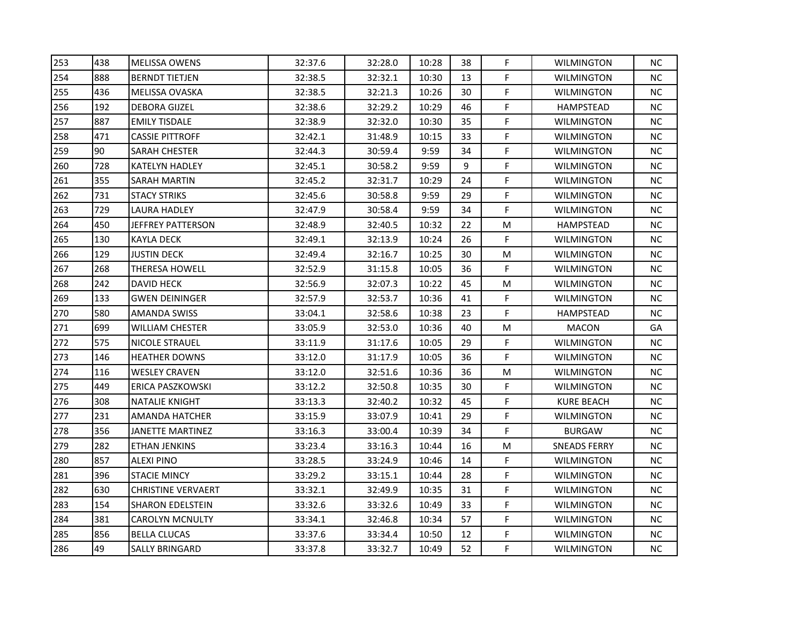| 253 | 438 | <b>MELISSA OWENS</b>      | 32:37.6 | 32:28.0 | 10:28 | 38 | F  | <b>WILMINGTON</b> | ΝC        |
|-----|-----|---------------------------|---------|---------|-------|----|----|-------------------|-----------|
| 254 | 888 | <b>BERNDT TIETJEN</b>     | 32:38.5 | 32:32.1 | 10:30 | 13 | F  | <b>WILMINGTON</b> | ΝC        |
| 255 | 436 | <b>MELISSA OVASKA</b>     | 32:38.5 | 32:21.3 | 10:26 | 30 | F  | <b>WILMINGTON</b> | <b>NC</b> |
| 256 | 192 | <b>DEBORA GIJZEL</b>      | 32:38.6 | 32:29.2 | 10:29 | 46 | F  | HAMPSTEAD         | NC        |
| 257 | 887 | <b>EMILY TISDALE</b>      | 32:38.9 | 32:32.0 | 10:30 | 35 | F  | <b>WILMINGTON</b> | NС        |
| 258 | 471 | <b>CASSIE PITTROFF</b>    | 32:42.1 | 31:48.9 | 10:15 | 33 | F  | <b>WILMINGTON</b> | NС        |
| 259 | 90  | SARAH CHESTER             | 32:44.3 | 30:59.4 | 9:59  | 34 | F  | <b>WILMINGTON</b> | NС        |
| 260 | 728 | <b>KATELYN HADLEY</b>     | 32:45.1 | 30:58.2 | 9:59  | 9  | F  | <b>WILMINGTON</b> | <b>NC</b> |
| 261 | 355 | <b>SARAH MARTIN</b>       | 32:45.2 | 32:31.7 | 10:29 | 24 | F  | <b>WILMINGTON</b> | <b>NC</b> |
| 262 | 731 | <b>STACY STRIKS</b>       | 32:45.6 | 30:58.8 | 9:59  | 29 | F  | <b>WILMINGTON</b> | NС        |
| 263 | 729 | <b>LAURA HADLEY</b>       | 32:47.9 | 30:58.4 | 9:59  | 34 | F  | <b>WILMINGTON</b> | NC.       |
| 264 | 450 | <b>JEFFREY PATTERSON</b>  | 32:48.9 | 32:40.5 | 10:32 | 22 | M  | HAMPSTEAD         | <b>NC</b> |
| 265 | 130 | <b>KAYLA DECK</b>         | 32:49.1 | 32:13.9 | 10:24 | 26 | F. | <b>WILMINGTON</b> | <b>NC</b> |
| 266 | 129 | <b>JUSTIN DECK</b>        | 32:49.4 | 32:16.7 | 10:25 | 30 | М  | <b>WILMINGTON</b> | NC        |
| 267 | 268 | <b>THERESA HOWELL</b>     | 32:52.9 | 31:15.8 | 10:05 | 36 | F  | <b>WILMINGTON</b> | NС        |
| 268 | 242 | DAVID HECK                | 32:56.9 | 32:07.3 | 10:22 | 45 | M  | <b>WILMINGTON</b> | NС        |
| 269 | 133 | <b>GWEN DEININGER</b>     | 32:57.9 | 32:53.7 | 10:36 | 41 | F  | <b>WILMINGTON</b> | NC        |
| 270 | 580 | <b>AMANDA SWISS</b>       | 33:04.1 | 32:58.6 | 10:38 | 23 | F  | HAMPSTEAD         | <b>NC</b> |
| 271 | 699 | <b>WILLIAM CHESTER</b>    | 33:05.9 | 32:53.0 | 10:36 | 40 | М  | <b>MACON</b>      | GA        |
| 272 | 575 | NICOLE STRAUEL            | 33:11.9 | 31:17.6 | 10:05 | 29 | F  | <b>WILMINGTON</b> | NC        |
| 273 | 146 | <b>HEATHER DOWNS</b>      | 33:12.0 | 31:17.9 | 10:05 | 36 | F  | <b>WILMINGTON</b> | NС        |
| 274 | 116 | <b>WESLEY CRAVEN</b>      | 33:12.0 | 32:51.6 | 10:36 | 36 | M  | <b>WILMINGTON</b> | <b>NC</b> |
| 275 | 449 | ERICA PASZKOWSKI          | 33:12.2 | 32:50.8 | 10:35 | 30 | F  | <b>WILMINGTON</b> | <b>NC</b> |
| 276 | 308 | <b>NATALIE KNIGHT</b>     | 33:13.3 | 32:40.2 | 10:32 | 45 | F  | <b>KURE BEACH</b> | <b>NC</b> |
| 277 | 231 | AMANDA HATCHER            | 33:15.9 | 33:07.9 | 10:41 | 29 | F  | <b>WILMINGTON</b> | NC        |
| 278 | 356 | JANETTE MARTINEZ          | 33:16.3 | 33:00.4 | 10:39 | 34 | F  | <b>BURGAW</b>     | NС        |
| 279 | 282 | <b>ETHAN JENKINS</b>      | 33:23.4 | 33:16.3 | 10:44 | 16 | M  | SNEADS FERRY      | NC        |
| 280 | 857 | <b>ALEXI PINO</b>         | 33:28.5 | 33:24.9 | 10:46 | 14 | F  | <b>WILMINGTON</b> | <b>NC</b> |
| 281 | 396 | <b>STACIE MINCY</b>       | 33:29.2 | 33:15.1 | 10:44 | 28 | F  | <b>WILMINGTON</b> | <b>NC</b> |
| 282 | 630 | <b>CHRISTINE VERVAERT</b> | 33:32.1 | 32:49.9 | 10:35 | 31 | F  | <b>WILMINGTON</b> | NC        |
| 283 | 154 | <b>SHARON EDELSTEIN</b>   | 33:32.6 | 33:32.6 | 10:49 | 33 | F  | <b>WILMINGTON</b> | NC.       |
| 284 | 381 | <b>CAROLYN MCNULTY</b>    | 33:34.1 | 32:46.8 | 10:34 | 57 | F  | <b>WILMINGTON</b> | NC.       |
| 285 | 856 | <b>BELLA CLUCAS</b>       | 33:37.6 | 33:34.4 | 10:50 | 12 | F  | <b>WILMINGTON</b> | <b>NC</b> |
| 286 | 49  | <b>SALLY BRINGARD</b>     | 33:37.8 | 33:32.7 | 10:49 | 52 | F  | <b>WILMINGTON</b> | <b>NC</b> |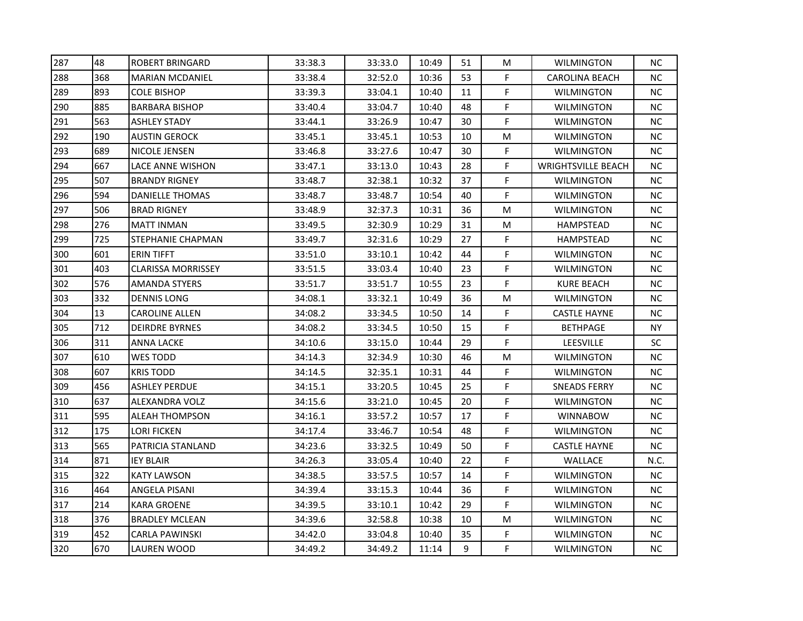| 287 | 48  | <b>ROBERT BRINGARD</b>    | 33:38.3 | 33:33.0 | 10:49 | 51 | M  | <b>WILMINGTON</b>         | NC.       |
|-----|-----|---------------------------|---------|---------|-------|----|----|---------------------------|-----------|
| 288 | 368 | <b>MARIAN MCDANIEL</b>    | 33:38.4 | 32:52.0 | 10:36 | 53 | F  | <b>CAROLINA BEACH</b>     | NC.       |
| 289 | 893 | <b>COLE BISHOP</b>        | 33:39.3 | 33:04.1 | 10:40 | 11 | F. | <b>WILMINGTON</b>         | <b>NC</b> |
| 290 | 885 | <b>BARBARA BISHOP</b>     | 33:40.4 | 33:04.7 | 10:40 | 48 | F  | <b>WILMINGTON</b>         | <b>NC</b> |
| 291 | 563 | ASHLEY STADY              | 33:44.1 | 33:26.9 | 10:47 | 30 | F  | <b>WILMINGTON</b>         | NC.       |
| 292 | 190 | <b>AUSTIN GEROCK</b>      | 33:45.1 | 33:45.1 | 10:53 | 10 | M  | WILMINGTON                | NС        |
| 293 | 689 | NICOLE JENSEN             | 33:46.8 | 33:27.6 | 10:47 | 30 | F  | <b>WILMINGTON</b>         | NС        |
| 294 | 667 | LACE ANNE WISHON          | 33:47.1 | 33:13.0 | 10:43 | 28 | F  | <b>WRIGHTSVILLE BEACH</b> | <b>NC</b> |
| 295 | 507 | <b>BRANDY RIGNEY</b>      | 33:48.7 | 32:38.1 | 10:32 | 37 | F. | <b>WILMINGTON</b>         | <b>NC</b> |
| 296 | 594 | <b>DANIELLE THOMAS</b>    | 33:48.7 | 33:48.7 | 10:54 | 40 | F  | <b>WILMINGTON</b>         | <b>NC</b> |
| 297 | 506 | <b>BRAD RIGNEY</b>        | 33:48.9 | 32:37.3 | 10:31 | 36 | M  | WILMINGTON                | <b>NC</b> |
| 298 | 276 | <b>MATT INMAN</b>         | 33:49.5 | 32:30.9 | 10:29 | 31 | M  | HAMPSTEAD                 | <b>NC</b> |
| 299 | 725 | <b>STEPHANIE CHAPMAN</b>  | 33:49.7 | 32:31.6 | 10:29 | 27 | F  | HAMPSTEAD                 | <b>NC</b> |
| 300 | 601 | <b>ERIN TIFFT</b>         | 33:51.0 | 33:10.1 | 10:42 | 44 | F  | <b>WILMINGTON</b>         | <b>NC</b> |
| 301 | 403 | <b>CLARISSA MORRISSEY</b> | 33:51.5 | 33:03.4 | 10:40 | 23 | F  | WILMINGTON                | <b>NC</b> |
| 302 | 576 | AMANDA STYERS             | 33:51.7 | 33:51.7 | 10:55 | 23 | F. | KURE BEACH                | <b>NC</b> |
| 303 | 332 | <b>DENNIS LONG</b>        | 34:08.1 | 33:32.1 | 10:49 | 36 | M  | WILMINGTON                | <b>NC</b> |
| 304 | 13  | <b>CAROLINE ALLEN</b>     | 34:08.2 | 33:34.5 | 10:50 | 14 | F  | <b>CASTLE HAYNE</b>       | <b>NC</b> |
| 305 | 712 | <b>DEIRDRE BYRNES</b>     | 34:08.2 | 33:34.5 | 10:50 | 15 | F. | <b>BETHPAGE</b>           | <b>NY</b> |
| 306 | 311 | ANNA LACKE                | 34:10.6 | 33:15.0 | 10:44 | 29 | F  | <b>LEESVILLE</b>          | SC        |
| 307 | 610 | WES TODD                  | 34:14.3 | 32:34.9 | 10:30 | 46 | M  | WILMINGTON                | <b>NC</b> |
| 308 | 607 | <b>KRIS TODD</b>          | 34:14.5 | 32:35.1 | 10:31 | 44 | F  | <b>WILMINGTON</b>         | <b>NC</b> |
| 309 | 456 | <b>ASHLEY PERDUE</b>      | 34:15.1 | 33:20.5 | 10:45 | 25 | F  | <b>SNEADS FERRY</b>       | <b>NC</b> |
| 310 | 637 | ALEXANDRA VOLZ            | 34:15.6 | 33:21.0 | 10:45 | 20 | F  | <b>WILMINGTON</b>         | <b>NC</b> |
| 311 | 595 | <b>ALEAH THOMPSON</b>     | 34:16.1 | 33:57.2 | 10:57 | 17 | F  | <b>WINNABOW</b>           | <b>NC</b> |
| 312 | 175 | LORI FICKEN               | 34:17.4 | 33:46.7 | 10:54 | 48 | F. | WILMINGTON                | <b>NC</b> |
| 313 | 565 | PATRICIA STANLAND         | 34:23.6 | 33:32.5 | 10:49 | 50 | F  | <b>CASTLE HAYNE</b>       | <b>NC</b> |
| 314 | 871 | <b>IEY BLAIR</b>          | 34:26.3 | 33:05.4 | 10:40 | 22 | F  | WALLACE                   | N.C.      |
| 315 | 322 | <b>KATY LAWSON</b>        | 34:38.5 | 33:57.5 | 10:57 | 14 | F. | <b>WILMINGTON</b>         | NC.       |
| 316 | 464 | ANGELA PISANI             | 34:39.4 | 33:15.3 | 10:44 | 36 | F  | <b>WILMINGTON</b>         | <b>NC</b> |
| 317 | 214 | <b>KARA GROENE</b>        | 34:39.5 | 33:10.1 | 10:42 | 29 | F  | <b>WILMINGTON</b>         | <b>NC</b> |
| 318 | 376 | <b>BRADLEY MCLEAN</b>     | 34:39.6 | 32:58.8 | 10:38 | 10 | M  | WILMINGTON                | <b>NC</b> |
| 319 | 452 | <b>CARLA PAWINSKI</b>     | 34:42.0 | 33:04.8 | 10:40 | 35 | F  | <b>WILMINGTON</b>         | <b>NC</b> |
| 320 | 670 | LAUREN WOOD               | 34:49.2 | 34:49.2 | 11:14 | 9  | F  | <b>WILMINGTON</b>         | <b>NC</b> |
|     |     |                           |         |         |       |    |    |                           |           |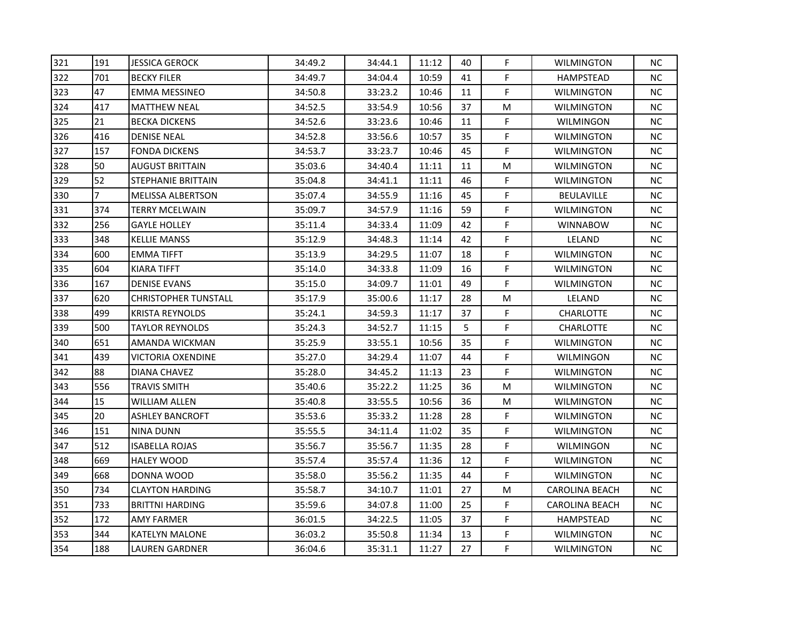| 321 | 191            | <b>JESSICA GEROCK</b>       | 34:49.2 | 34:44.1 | 11:12 | 40 | F. | <b>WILMINGTON</b>     | NC.       |
|-----|----------------|-----------------------------|---------|---------|-------|----|----|-----------------------|-----------|
| 322 | 701            | <b>BECKY FILER</b>          | 34:49.7 | 34:04.4 | 10:59 | 41 | F  | HAMPSTEAD             | NC.       |
| 323 | 47             | <b>EMMA MESSINEO</b>        | 34:50.8 | 33:23.2 | 10:46 | 11 | F. | <b>WILMINGTON</b>     | NC.       |
| 324 | 417            | <b>MATTHEW NEAL</b>         | 34:52.5 | 33:54.9 | 10:56 | 37 | M  | <b>WILMINGTON</b>     | NC.       |
| 325 | 21             | <b>BECKA DICKENS</b>        | 34:52.6 | 33:23.6 | 10:46 | 11 | F. | WILMINGON             | NC.       |
| 326 | 416            | <b>DENISE NEAL</b>          | 34:52.8 | 33:56.6 | 10:57 | 35 | F. | <b>WILMINGTON</b>     | NC.       |
| 327 | 157            | FONDA DICKENS               | 34:53.7 | 33:23.7 | 10:46 | 45 | F  | <b>WILMINGTON</b>     | NC.       |
| 328 | 50             | AUGUST BRITTAIN             | 35:03.6 | 34:40.4 | 11:11 | 11 | М  | <b>WILMINGTON</b>     | NC.       |
| 329 | 52             | <b>STEPHANIE BRITTAIN</b>   | 35:04.8 | 34:41.1 | 11:11 | 46 | F  | <b>WILMINGTON</b>     | NC.       |
| 330 | $\overline{7}$ | <b>MELISSA ALBERTSON</b>    | 35:07.4 | 34:55.9 | 11:16 | 45 | F. | <b>BEULAVILLE</b>     | NC.       |
| 331 | 374            | <b>TERRY MCELWAIN</b>       | 35:09.7 | 34:57.9 | 11:16 | 59 | F. | <b>WILMINGTON</b>     | NC.       |
| 332 | 256            | <b>GAYLE HOLLEY</b>         | 35:11.4 | 34:33.4 | 11:09 | 42 | F. | <b>WINNABOW</b>       | NC.       |
| 333 | 348            | <b>KELLIE MANSS</b>         | 35:12.9 | 34:48.3 | 11:14 | 42 | F. | LELAND                | NC.       |
| 334 | 600            | EMMA TIFFT                  | 35:13.9 | 34:29.5 | 11:07 | 18 | F  | <b>WILMINGTON</b>     | NC.       |
| 335 | 604            | KIARA TIFFT                 | 35:14.0 | 34:33.8 | 11:09 | 16 | F  | <b>WILMINGTON</b>     | NC.       |
| 336 | 167            | <b>DENISE EVANS</b>         | 35:15.0 | 34:09.7 | 11:01 | 49 | F. | <b>WILMINGTON</b>     | NC.       |
| 337 | 620            | <b>CHRISTOPHER TUNSTALL</b> | 35:17.9 | 35:00.6 | 11:17 | 28 | M  | LELAND                | NC.       |
| 338 | 499            | <b>KRISTA REYNOLDS</b>      | 35:24.1 | 34:59.3 | 11:17 | 37 | F. | <b>CHARLOTTE</b>      | NC.       |
| 339 | 500            | <b>TAYLOR REYNOLDS</b>      | 35:24.3 | 34:52.7 | 11:15 | 5  | F. | <b>CHARLOTTE</b>      | NC.       |
| 340 | 651            | AMANDA WICKMAN              | 35:25.9 | 33:55.1 | 10:56 | 35 | F. | <b>WILMINGTON</b>     | <b>NC</b> |
| 341 | 439            | VICTORIA OXENDINE           | 35:27.0 | 34:29.4 | 11:07 | 44 | F. | WILMINGON             | NC.       |
| 342 | 88             | DIANA CHAVEZ                | 35:28.0 | 34:45.2 | 11:13 | 23 | F. | <b>WILMINGTON</b>     | NC.       |
| 343 | 556            | <b>TRAVIS SMITH</b>         | 35:40.6 | 35:22.2 | 11:25 | 36 | М  | <b>WILMINGTON</b>     | NC.       |
| 344 | 15             | <b>WILLIAM ALLEN</b>        | 35:40.8 | 33:55.5 | 10:56 | 36 | M  | <b>WILMINGTON</b>     | NC.       |
| 345 | 20             | <b>ASHLEY BANCROFT</b>      | 35:53.6 | 35:33.2 | 11:28 | 28 | F. | <b>WILMINGTON</b>     | <b>NC</b> |
| 346 | 151            | NINA DUNN                   | 35:55.5 | 34:11.4 | 11:02 | 35 | F  | <b>WILMINGTON</b>     | NC.       |
| 347 | 512            | <b>ISABELLA ROJAS</b>       | 35:56.7 | 35:56.7 | 11:35 | 28 | F. | <b>WILMINGON</b>      | NC.       |
| 348 | 669            | HALEY WOOD                  | 35:57.4 | 35:57.4 | 11:36 | 12 | F. | WILMINGTON            | NC.       |
| 349 | 668            | DONNA WOOD                  | 35:58.0 | 35:56.2 | 11:35 | 44 | F. | <b>WILMINGTON</b>     | NC.       |
| 350 | 734            | <b>CLAYTON HARDING</b>      | 35:58.7 | 34:10.7 | 11:01 | 27 | M  | <b>CAROLINA BEACH</b> | NC.       |
| 351 | 733            | <b>BRITTNI HARDING</b>      | 35:59.6 | 34:07.8 | 11:00 | 25 | F  | <b>CAROLINA BEACH</b> | NC.       |
| 352 | 172            | AMY FARMER                  | 36:01.5 | 34:22.5 | 11:05 | 37 | F. | HAMPSTEAD             | NC.       |
| 353 | 344            | <b>KATELYN MALONE</b>       | 36:03.2 | 35:50.8 | 11:34 | 13 | F. | <b>WILMINGTON</b>     | NC.       |
| 354 | 188            | <b>LAUREN GARDNER</b>       | 36:04.6 | 35:31.1 | 11:27 | 27 | F. | <b>WILMINGTON</b>     | NC.       |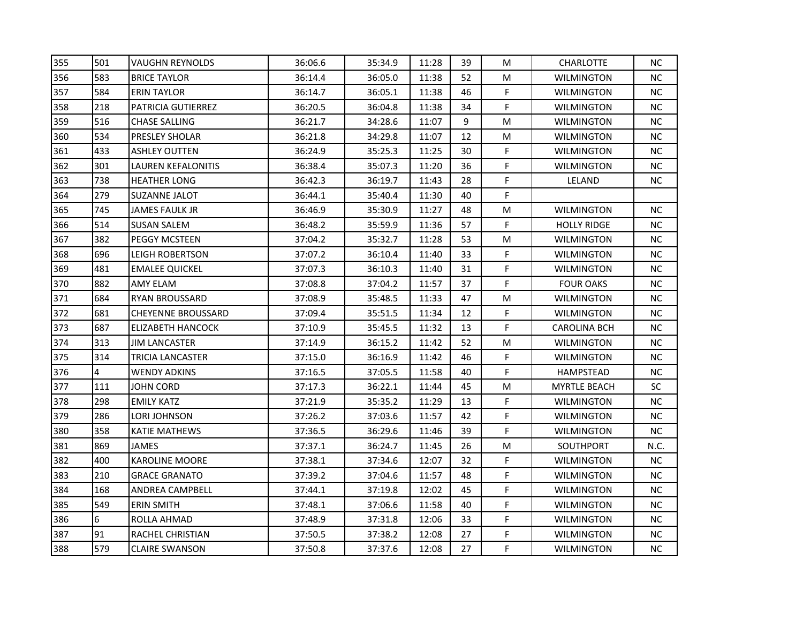| 355 | 501 | <b>VAUGHN REYNOLDS</b>    | 36:06.6 | 35:34.9 | 11:28 | 39 | М  | <b>CHARLOTTE</b>    | <b>NC</b> |
|-----|-----|---------------------------|---------|---------|-------|----|----|---------------------|-----------|
| 356 | 583 | <b>BRICE TAYLOR</b>       | 36:14.4 | 36:05.0 | 11:38 | 52 | М  | <b>WILMINGTON</b>   | <b>NC</b> |
| 357 | 584 | <b>ERIN TAYLOR</b>        | 36:14.7 | 36:05.1 | 11:38 | 46 | F  | <b>WILMINGTON</b>   | <b>NC</b> |
| 358 | 218 | <b>PATRICIA GUTIERREZ</b> | 36:20.5 | 36:04.8 | 11:38 | 34 | F  | <b>WILMINGTON</b>   | <b>NC</b> |
| 359 | 516 | <b>CHASE SALLING</b>      | 36:21.7 | 34:28.6 | 11:07 | 9  | M  | <b>WILMINGTON</b>   | NС        |
| 360 | 534 | PRESLEY SHOLAR            | 36:21.8 | 34:29.8 | 11:07 | 12 | М  | <b>WILMINGTON</b>   | NC        |
| 361 | 433 | <b>ASHLEY OUTTEN</b>      | 36:24.9 | 35:25.3 | 11:25 | 30 | F  | <b>WILMINGTON</b>   | NC        |
| 362 | 301 | <b>LAUREN KEFALONITIS</b> | 36:38.4 | 35:07.3 | 11:20 | 36 | F  | <b>WILMINGTON</b>   | NC        |
| 363 | 738 | <b>HEATHER LONG</b>       | 36:42.3 | 36:19.7 | 11:43 | 28 | F  | LELAND              | <b>NC</b> |
| 364 | 279 | <b>SUZANNE JALOT</b>      | 36:44.1 | 35:40.4 | 11:30 | 40 | F  |                     |           |
| 365 | 745 | <b>JAMES FAULK JR</b>     | 36:46.9 | 35:30.9 | 11:27 | 48 | М  | <b>WILMINGTON</b>   | <b>NC</b> |
| 366 | 514 | <b>SUSAN SALEM</b>        | 36:48.2 | 35:59.9 | 11:36 | 57 | F. | <b>HOLLY RIDGE</b>  | <b>NC</b> |
| 367 | 382 | PEGGY MCSTEEN             | 37:04.2 | 35:32.7 | 11:28 | 53 | M  | <b>WILMINGTON</b>   | <b>NC</b> |
| 368 | 696 | <b>LEIGH ROBERTSON</b>    | 37:07.2 | 36:10.4 | 11:40 | 33 | F  | WILMINGTON          | NC        |
| 369 | 481 | <b>EMALEE QUICKEL</b>     | 37:07.3 | 36:10.3 | 11:40 | 31 | F  | <b>WILMINGTON</b>   | NC        |
| 370 | 882 | AMY ELAM                  | 37:08.8 | 37:04.2 | 11:57 | 37 | F  | <b>FOUR OAKS</b>    | NC        |
| 371 | 684 | <b>RYAN BROUSSARD</b>     | 37:08.9 | 35:48.5 | 11:33 | 47 | M  | <b>WILMINGTON</b>   | NC        |
| 372 | 681 | <b>CHEYENNE BROUSSARD</b> | 37:09.4 | 35:51.5 | 11:34 | 12 | F  | <b>WILMINGTON</b>   | <b>NC</b> |
| 373 | 687 | <b>ELIZABETH HANCOCK</b>  | 37:10.9 | 35:45.5 | 11:32 | 13 | F  | <b>CAROLINA BCH</b> | <b>NC</b> |
| 374 | 313 | <b>JIM LANCASTER</b>      | 37:14.9 | 36:15.2 | 11:42 | 52 | M  | <b>WILMINGTON</b>   | NC        |
| 375 | 314 | TRICIA LANCASTER          | 37:15.0 | 36:16.9 | 11:42 | 46 | F  | <b>WILMINGTON</b>   | NC        |
| 376 | 4   | <b>WENDY ADKINS</b>       | 37:16.5 | 37:05.5 | 11:58 | 40 | F  | HAMPSTEAD           | <b>NC</b> |
| 377 | 111 | <b>JOHN CORD</b>          | 37:17.3 | 36:22.1 | 11:44 | 45 | M  | <b>MYRTLE BEACH</b> | <b>SC</b> |
| 378 | 298 | <b>EMILY KATZ</b>         | 37:21.9 | 35:35.2 | 11:29 | 13 | F  | <b>WILMINGTON</b>   | <b>NC</b> |
| 379 | 286 | LORI JOHNSON              | 37:26.2 | 37:03.6 | 11:57 | 42 | F  | <b>WILMINGTON</b>   | NC        |
| 380 | 358 | KATIE MATHEWS             | 37:36.5 | 36:29.6 | 11:46 | 39 | F  | <b>WILMINGTON</b>   | <b>NC</b> |
| 381 | 869 | <b>JAMES</b>              | 37:37.1 | 36:24.7 | 11:45 | 26 | M  | SOUTHPORT           | N.C.      |
| 382 | 400 | <b>KAROLINE MOORE</b>     | 37:38.1 | 37:34.6 | 12:07 | 32 | F  | <b>WILMINGTON</b>   | <b>NC</b> |
| 383 | 210 | <b>GRACE GRANATO</b>      | 37:39.2 | 37:04.6 | 11:57 | 48 | F  | <b>WILMINGTON</b>   | <b>NC</b> |
| 384 | 168 | <b>ANDREA CAMPBELL</b>    | 37:44.1 | 37:19.8 | 12:02 | 45 | F  | <b>WILMINGTON</b>   | <b>NC</b> |
| 385 | 549 | <b>ERIN SMITH</b>         | 37:48.1 | 37:06.6 | 11:58 | 40 | F  | <b>WILMINGTON</b>   | NC.       |
| 386 | 6   | ROLLA AHMAD               | 37:48.9 | 37:31.8 | 12:06 | 33 | F  | <b>WILMINGTON</b>   | <b>NC</b> |
| 387 | 91  | <b>RACHEL CHRISTIAN</b>   | 37:50.5 | 37:38.2 | 12:08 | 27 | F  | <b>WILMINGTON</b>   | <b>NC</b> |
| 388 | 579 | <b>CLAIRE SWANSON</b>     | 37:50.8 | 37:37.6 | 12:08 | 27 | F  | <b>WILMINGTON</b>   | <b>NC</b> |
|     |     |                           |         |         |       |    |    |                     |           |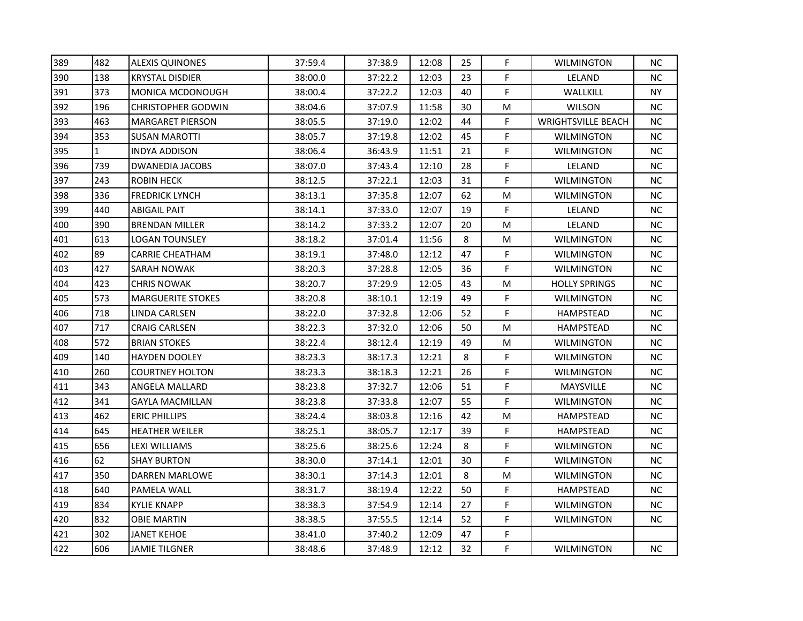| 389 | 482 | <b>ALEXIS QUINONES</b>    | 37:59.4 | 37:38.9 | 12:08 | 25 | F. | <b>WILMINGTON</b>         | NC.       |
|-----|-----|---------------------------|---------|---------|-------|----|----|---------------------------|-----------|
| 390 | 138 | <b>KRYSTAL DISDIER</b>    | 38:00.0 | 37:22.2 | 12:03 | 23 | F  | LELAND                    | NC.       |
| 391 | 373 | <b>MONICA MCDONOUGH</b>   | 38:00.4 | 37:22.2 | 12:03 | 40 | F. | WALLKILL                  | <b>NY</b> |
| 392 | 196 | <b>CHRISTOPHER GODWIN</b> | 38:04.6 | 37:07.9 | 11:58 | 30 | M  | <b>WILSON</b>             | NC.       |
| 393 | 463 | <b>MARGARET PIERSON</b>   | 38:05.5 | 37:19.0 | 12:02 | 44 | F. | <b>WRIGHTSVILLE BEACH</b> | NC.       |
| 394 | 353 | <b>SUSAN MAROTTI</b>      | 38:05.7 | 37:19.8 | 12:02 | 45 | F. | <b>WILMINGTON</b>         | NC.       |
| 395 | 1   | INDYA ADDISON             | 38:06.4 | 36:43.9 | 11:51 | 21 | F  | <b>WILMINGTON</b>         | NC.       |
| 396 | 739 | DWANEDIA JACOBS           | 38:07.0 | 37:43.4 | 12:10 | 28 | F. | LELAND                    | NC.       |
| 397 | 243 | <b>ROBIN HECK</b>         | 38:12.5 | 37:22.1 | 12:03 | 31 | F  | <b>WILMINGTON</b>         | NC.       |
| 398 | 336 | <b>FREDRICK LYNCH</b>     | 38:13.1 | 37:35.8 | 12:07 | 62 | M  | <b>WILMINGTON</b>         | NC.       |
| 399 | 440 | <b>ABIGAIL PAIT</b>       | 38:14.1 | 37:33.0 | 12:07 | 19 | F  | LELAND                    | NC.       |
| 400 | 390 | <b>BRENDAN MILLER</b>     | 38:14.2 | 37:33.2 | 12:07 | 20 | M  | LELAND                    | NC        |
| 401 | 613 | LOGAN TOUNSLEY            | 38:18.2 | 37:01.4 | 11:56 | 8  | M  | <b>WILMINGTON</b>         | NC.       |
| 402 | 89  | CARRIE CHEATHAM           | 38:19.1 | 37:48.0 | 12:12 | 47 | F. | <b>WILMINGTON</b>         | NC.       |
| 403 | 427 | SARAH NOWAK               | 38:20.3 | 37:28.8 | 12:05 | 36 | F  | <b>WILMINGTON</b>         | NC.       |
| 404 | 423 | <b>CHRIS NOWAK</b>        | 38:20.7 | 37:29.9 | 12:05 | 43 | М  | <b>HOLLY SPRINGS</b>      | NC.       |
| 405 | 573 | <b>MARGUERITE STOKES</b>  | 38:20.8 | 38:10.1 | 12:19 | 49 | F. | <b>WILMINGTON</b>         | NC.       |
| 406 | 718 | LINDA CARLSEN             | 38:22.0 | 37:32.8 | 12:06 | 52 | F. | HAMPSTEAD                 | NC.       |
| 407 | 717 | <b>CRAIG CARLSEN</b>      | 38:22.3 | 37:32.0 | 12:06 | 50 | M  | <b>HAMPSTEAD</b>          | NC.       |
| 408 | 572 | <b>BRIAN STOKES</b>       | 38:22.4 | 38:12.4 | 12:19 | 49 | М  | <b>WILMINGTON</b>         | <b>NC</b> |
| 409 | 140 | HAYDEN DOOLEY             | 38:23.3 | 38:17.3 | 12:21 | 8  | F. | <b>WILMINGTON</b>         | NC.       |
| 410 | 260 | <b>COURTNEY HOLTON</b>    | 38:23.3 | 38:18.3 | 12:21 | 26 | F. | <b>WILMINGTON</b>         | NC.       |
| 411 | 343 | ANGELA MALLARD            | 38:23.8 | 37:32.7 | 12:06 | 51 | F  | MAYSVILLE                 | NC.       |
| 412 | 341 | <b>GAYLA MACMILLAN</b>    | 38:23.8 | 37:33.8 | 12:07 | 55 | F. | <b>WILMINGTON</b>         | NC.       |
| 413 | 462 | <b>ERIC PHILLIPS</b>      | 38:24.4 | 38:03.8 | 12:16 | 42 | M  | <b>HAMPSTEAD</b>          | <b>NC</b> |
| 414 | 645 | <b>HEATHER WEILER</b>     | 38:25.1 | 38:05.7 | 12:17 | 39 | F  | HAMPSTEAD                 | NC.       |
| 415 | 656 | LEXI WILLIAMS             | 38:25.6 | 38:25.6 | 12:24 | 8  | F. | <b>WILMINGTON</b>         | NC.       |
| 416 | 62  | SHAY BURTON               | 38:30.0 | 37:14.1 | 12:01 | 30 | F  | <b>WILMINGTON</b>         | NC.       |
| 417 | 350 | DARREN MARLOWE            | 38:30.1 | 37:14.3 | 12:01 | 8  | M  | <b>WILMINGTON</b>         | NC.       |
| 418 | 640 | PAMELA WALL               | 38:31.7 | 38:19.4 | 12:22 | 50 | F  | <b>HAMPSTEAD</b>          | NC.       |
| 419 | 834 | <b>KYLIE KNAPP</b>        | 38:38.3 | 37:54.9 | 12:14 | 27 | F  | <b>WILMINGTON</b>         | NC.       |
| 420 | 832 | <b>OBIE MARTIN</b>        | 38:38.5 | 37:55.5 | 12:14 | 52 | F. | <b>WILMINGTON</b>         | NC.       |
| 421 | 302 | JANET KEHOE               | 38:41.0 | 37:40.2 | 12:09 | 47 | F. |                           |           |
| 422 | 606 | JAMIE TILGNER             | 38:48.6 | 37:48.9 | 12:12 | 32 | F. | <b>WILMINGTON</b>         | NC.       |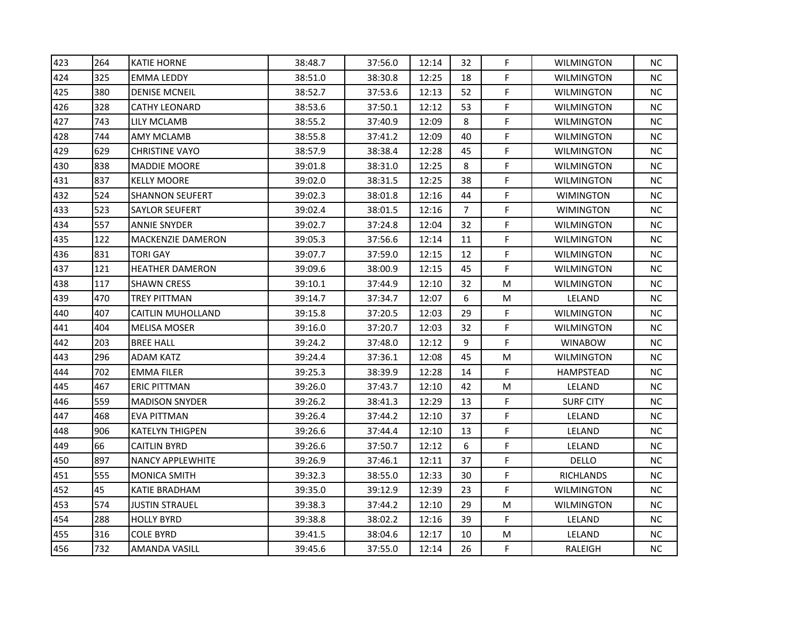| 264 | <b>KATIE HORNE</b>       | 38:48.7 | 37:56.0 | 12:14 | 32 | F | <b>WILMINGTON</b> | <b>NC</b> |
|-----|--------------------------|---------|---------|-------|----|---|-------------------|-----------|
| 325 | <b>EMMA LEDDY</b>        | 38:51.0 | 38:30.8 | 12:25 | 18 | F | <b>WILMINGTON</b> | ΝC        |
| 380 | <b>DENISE MCNEIL</b>     | 38:52.7 | 37:53.6 | 12:13 | 52 | F | <b>WILMINGTON</b> | <b>NC</b> |
| 328 | <b>CATHY LEONARD</b>     | 38:53.6 | 37:50.1 | 12:12 | 53 | F | <b>WILMINGTON</b> | ΝC        |
| 743 | LILY MCLAMB              | 38:55.2 | 37:40.9 | 12:09 | 8  | F | <b>WILMINGTON</b> | ΝC        |
| 744 | <b>AMY MCLAMB</b>        | 38:55.8 | 37:41.2 | 12:09 | 40 | F | <b>WILMINGTON</b> | ΝC        |
| 629 | <b>CHRISTINE VAYO</b>    | 38:57.9 | 38:38.4 | 12:28 | 45 | F | <b>WILMINGTON</b> | ΝC        |
| 838 | <b>MADDIE MOORE</b>      | 39:01.8 | 38:31.0 | 12:25 | 8  | F | <b>WILMINGTON</b> | ΝC        |
| 837 | <b>KELLY MOORE</b>       | 39:02.0 | 38:31.5 | 12:25 | 38 | F | <b>WILMINGTON</b> | <b>NC</b> |
| 524 | <b>SHANNON SEUFERT</b>   | 39:02.3 | 38:01.8 | 12:16 | 44 | F | <b>WIMINGTON</b>  | ΝC        |
| 523 | <b>SAYLOR SEUFERT</b>    | 39:02.4 | 38:01.5 | 12:16 | 7  | F | <b>WIMINGTON</b>  | NС        |
| 557 | <b>ANNIE SNYDER</b>      | 39:02.7 | 37:24.8 | 12:04 | 32 | F | <b>WILMINGTON</b> | <b>NC</b> |
| 122 | MACKENZIE DAMERON        | 39:05.3 | 37:56.6 | 12:14 | 11 | F | <b>WILMINGTON</b> | <b>NC</b> |
| 831 | <b>TORI GAY</b>          | 39:07.7 | 37:59.0 | 12:15 | 12 | F | <b>WILMINGTON</b> | ΝC        |
| 121 | <b>HEATHER DAMERON</b>   | 39:09.6 | 38:00.9 | 12:15 | 45 | F | <b>WILMINGTON</b> | ΝC        |
| 117 | <b>SHAWN CRESS</b>       | 39:10.1 | 37:44.9 | 12:10 | 32 | М | <b>WILMINGTON</b> | NС        |
| 470 | <b>TREY PITTMAN</b>      | 39:14.7 | 37:34.7 | 12:07 | 6  | М | LELAND            | NС        |
| 407 | <b>CAITLIN MUHOLLAND</b> | 39:15.8 | 37:20.5 | 12:03 | 29 | F | <b>WILMINGTON</b> | <b>NC</b> |
| 404 | <b>MELISA MOSER</b>      | 39:16.0 | 37:20.7 | 12:03 | 32 | F | <b>WILMINGTON</b> | ΝC        |
| 203 | <b>BREE HALL</b>         | 39:24.2 | 37:48.0 | 12:12 | 9  | F | <b>WINABOW</b>    | <b>NC</b> |
| 296 | <b>ADAM KATZ</b>         | 39:24.4 | 37:36.1 | 12:08 | 45 | М | WILMINGTON        | ΝC        |
| 702 | <b>EMMA FILER</b>        | 39:25.3 | 38:39.9 | 12:28 | 14 | F | HAMPSTEAD         | ΝC        |
| 467 | <b>ERIC PITTMAN</b>      | 39:26.0 | 37:43.7 | 12:10 | 42 | M | LELAND            | <b>NC</b> |
| 559 | <b>MADISON SNYDER</b>    | 39:26.2 | 38:41.3 | 12:29 | 13 | F | <b>SURF CITY</b>  | ΝC        |
| 468 | <b>EVA PITTMAN</b>       | 39:26.4 | 37:44.2 | 12:10 | 37 | F | LELAND            | ΝC        |
| 906 | <b>KATELYN THIGPEN</b>   | 39:26.6 | 37:44.4 | 12:10 | 13 | F | LELAND            | NС        |
| 66  | <b>CAITLIN BYRD</b>      | 39:26.6 | 37:50.7 | 12:12 | 6  | F | LELAND            | ΝC        |
| 897 | <b>NANCY APPLEWHITE</b>  | 39:26.9 | 37:46.1 | 12:11 | 37 | F | <b>DELLO</b>      | ΝC        |
| 555 | <b>MONICA SMITH</b>      | 39:32.3 | 38:55.0 | 12:33 | 30 | F | <b>RICHLANDS</b>  | <b>NC</b> |
| 45  | <b>KATIE BRADHAM</b>     | 39:35.0 | 39:12.9 | 12:39 | 23 | F | <b>WILMINGTON</b> | <b>NC</b> |
| 574 | <b>JUSTIN STRAUEL</b>    | 39:38.3 | 37:44.2 | 12:10 | 29 | M | <b>WILMINGTON</b> | ΝC        |
| 288 | <b>HOLLY BYRD</b>        | 39:38.8 | 38:02.2 | 12:16 | 39 | F | LELAND            | ΝC        |
| 316 | <b>COLE BYRD</b>         | 39:41.5 | 38:04.6 | 12:17 | 10 | M | LELAND            | ΝC        |
| 732 | <b>AMANDA VASILL</b>     | 39:45.6 | 37:55.0 | 12:14 | 26 | F | RALEIGH           | ΝC        |
|     |                          |         |         |       |    |   |                   |           |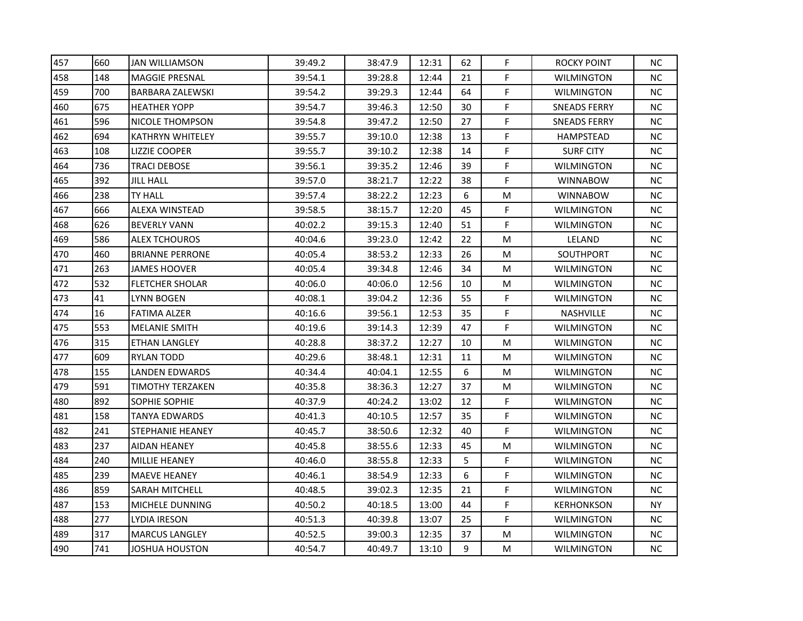| 660 | <b>JAN WILLIAMSON</b>   | 39:49.2 | 38:47.9 | 12:31 | 62 | F | <b>ROCKY POINT</b>  | <b>NC</b> |
|-----|-------------------------|---------|---------|-------|----|---|---------------------|-----------|
| 148 | <b>MAGGIE PRESNAL</b>   | 39:54.1 | 39:28.8 | 12:44 | 21 | F | <b>WILMINGTON</b>   | ΝC        |
| 700 | <b>BARBARA ZALEWSKI</b> | 39:54.2 | 39:29.3 | 12:44 | 64 | F | <b>WILMINGTON</b>   | <b>NC</b> |
| 675 | <b>HEATHER YOPP</b>     | 39:54.7 | 39:46.3 | 12:50 | 30 | F | <b>SNEADS FERRY</b> | ΝC        |
| 596 | NICOLE THOMPSON         | 39:54.8 | 39:47.2 | 12:50 | 27 | F | <b>SNEADS FERRY</b> | ΝC        |
| 694 | KATHRYN WHITELEY        | 39:55.7 | 39:10.0 | 12:38 | 13 | F | <b>HAMPSTEAD</b>    | ΝC        |
| 108 | <b>LIZZIE COOPER</b>    | 39:55.7 | 39:10.2 | 12:38 | 14 | F | <b>SURF CITY</b>    | ΝC        |
| 736 | <b>TRACI DEBOSE</b>     | 39:56.1 | 39:35.2 | 12:46 | 39 | F | <b>WILMINGTON</b>   | ΝC        |
| 392 | <b>JILL HALL</b>        | 39:57.0 | 38:21.7 | 12:22 | 38 | F | <b>WINNABOW</b>     | <b>NC</b> |
| 238 | <b>TY HALL</b>          | 39:57.4 | 38:22.2 | 12:23 | 6  | M | <b>WINNABOW</b>     | ΝC        |
| 666 | <b>ALEXA WINSTEAD</b>   | 39:58.5 | 38:15.7 | 12:20 | 45 | F | <b>WILMINGTON</b>   | NС        |
| 626 | <b>BEVERLY VANN</b>     | 40:02.2 | 39:15.3 | 12:40 | 51 | F | <b>WILMINGTON</b>   | <b>NC</b> |
| 586 | <b>ALEX TCHOUROS</b>    | 40:04.6 | 39:23.0 | 12:42 | 22 | M | LELAND              | ΝC        |
| 460 | <b>BRIANNE PERRONE</b>  | 40:05.4 | 38:53.2 | 12:33 | 26 | М | SOUTHPORT           | ΝC        |
| 263 | <b>JAMES HOOVER</b>     | 40:05.4 | 39:34.8 | 12:46 | 34 | M | <b>WILMINGTON</b>   | ΝC        |
| 532 | <b>FLETCHER SHOLAR</b>  | 40:06.0 | 40:06.0 | 12:56 | 10 | M | <b>WILMINGTON</b>   | NС        |
| 41  | LYNN BOGEN              | 40:08.1 | 39:04.2 | 12:36 | 55 | F | <b>WILMINGTON</b>   | NС        |
| 16  | <b>FATIMA ALZER</b>     | 40:16.6 | 39:56.1 | 12:53 | 35 | F | NASHVILLE           | <b>NC</b> |
| 553 | <b>MELANIE SMITH</b>    | 40:19.6 | 39:14.3 | 12:39 | 47 | F | <b>WILMINGTON</b>   | ΝC        |
| 315 | ETHAN LANGLEY           | 40:28.8 | 38:37.2 | 12:27 | 10 | М | <b>WILMINGTON</b>   | <b>NC</b> |
| 609 | RYLAN TODD              | 40:29.6 | 38:48.1 | 12:31 | 11 | М | <b>WILMINGTON</b>   | ΝC        |
| 155 | <b>LANDEN EDWARDS</b>   | 40:34.4 | 40:04.1 | 12:55 | 6  | М | <b>WILMINGTON</b>   | ΝC        |
| 591 | <b>TIMOTHY TERZAKEN</b> | 40:35.8 | 38:36.3 | 12:27 | 37 | M | <b>WILMINGTON</b>   | <b>NC</b> |
| 892 | <b>SOPHIE SOPHIE</b>    | 40:37.9 | 40:24.2 | 13:02 | 12 | F | <b>WILMINGTON</b>   | ΝC        |
| 158 | <b>TANYA EDWARDS</b>    | 40:41.3 | 40:10.5 | 12:57 | 35 | F | <b>WILMINGTON</b>   | ΝC        |
| 241 | STEPHANIE HEANEY        | 40:45.7 | 38:50.6 | 12:32 | 40 | F | WILMINGTON          | NС        |
| 237 | <b>AIDAN HEANEY</b>     | 40:45.8 | 38:55.6 | 12:33 | 45 | M | <b>WILMINGTON</b>   | ΝC        |
| 240 | <b>MILLIE HEANEY</b>    | 40:46.0 | 38:55.8 | 12:33 | 5  | F | <b>WILMINGTON</b>   | ΝC        |
| 239 | <b>MAEVE HEANEY</b>     | 40:46.1 | 38:54.9 | 12:33 | 6  | F | <b>WILMINGTON</b>   | <b>NC</b> |
| 859 | <b>SARAH MITCHELL</b>   | 40:48.5 | 39:02.3 | 12:35 | 21 | F | <b>WILMINGTON</b>   | <b>NC</b> |
| 153 | MICHELE DUNNING         | 40:50.2 | 40:18.5 | 13:00 | 44 | F | <b>KERHONKSON</b>   | <b>NY</b> |
| 277 | LYDIA IRESON            | 40:51.3 | 40:39.8 | 13:07 | 25 | F | <b>WILMINGTON</b>   | ΝC        |
| 317 | <b>MARCUS LANGLEY</b>   | 40:52.5 | 39:00.3 | 12:35 | 37 | M | <b>WILMINGTON</b>   | ΝC        |
| 741 | JOSHUA HOUSTON          | 40:54.7 | 40:49.7 | 13:10 | 9  | м | <b>WILMINGTON</b>   | ΝC        |
|     |                         |         |         |       |    |   |                     |           |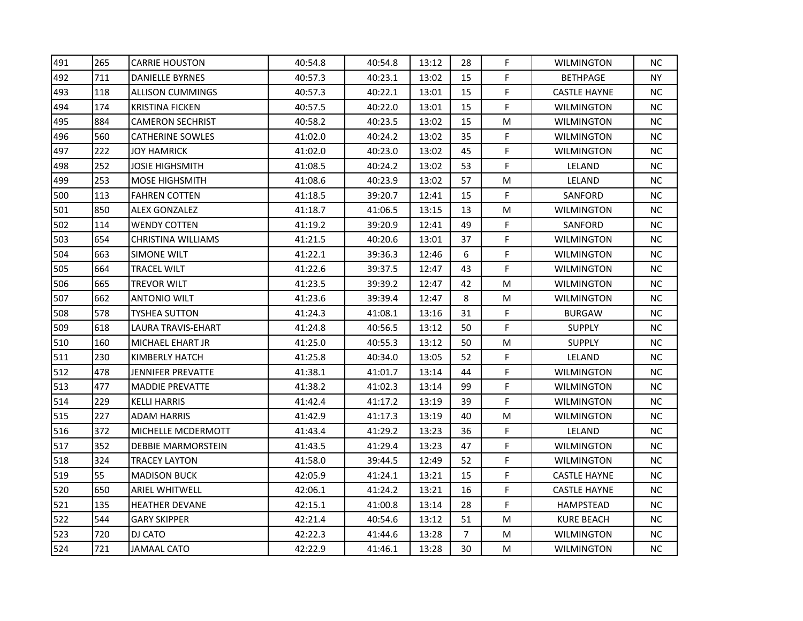| 491 | 265 | <b>CARRIE HOUSTON</b>     | 40:54.8 | 40:54.8 | 13:12 | 28             | F  | <b>WILMINGTON</b>   | ΝC        |
|-----|-----|---------------------------|---------|---------|-------|----------------|----|---------------------|-----------|
| 492 | 711 | <b>DANIELLE BYRNES</b>    | 40:57.3 | 40:23.1 | 13:02 | 15             | F  | <b>BETHPAGE</b>     | NY.       |
| 493 | 118 | <b>ALLISON CUMMINGS</b>   | 40:57.3 | 40:22.1 | 13:01 | 15             | F  | <b>CASTLE HAYNE</b> | <b>NC</b> |
| 494 | 174 | <b>KRISTINA FICKEN</b>    | 40:57.5 | 40:22.0 | 13:01 | 15             | F  | <b>WILMINGTON</b>   | NC        |
| 495 | 884 | <b>CAMERON SECHRIST</b>   | 40:58.2 | 40:23.5 | 13:02 | 15             | M  | <b>WILMINGTON</b>   | NС        |
| 496 | 560 | <b>CATHERINE SOWLES</b>   | 41:02.0 | 40:24.2 | 13:02 | 35             | F  | <b>WILMINGTON</b>   | NС        |
| 497 | 222 | <b>JOY HAMRICK</b>        | 41:02.0 | 40:23.0 | 13:02 | 45             | F  | <b>WILMINGTON</b>   | NС        |
| 498 | 252 | <b>JOSIE HIGHSMITH</b>    | 41:08.5 | 40:24.2 | 13:02 | 53             | F. | LELAND              | NC        |
| 499 | 253 | <b>MOSE HIGHSMITH</b>     | 41:08.6 | 40:23.9 | 13:02 | 57             | М  | LELAND              | <b>NC</b> |
| 500 | 113 | <b>FAHREN COTTEN</b>      | 41:18.5 | 39:20.7 | 12:41 | 15             | F  | SANFORD             | NС        |
| 501 | 850 | <b>ALEX GONZALEZ</b>      | 41:18.7 | 41:06.5 | 13:15 | 13             | М  | <b>WILMINGTON</b>   | NC.       |
| 502 | 114 | <b>WENDY COTTEN</b>       | 41:19.2 | 39:20.9 | 12:41 | 49             | F. | SANFORD             | <b>NC</b> |
| 503 | 654 | <b>CHRISTINA WILLIAMS</b> | 41:21.5 | 40:20.6 | 13:01 | 37             | F  | <b>WILMINGTON</b>   | <b>NC</b> |
| 504 | 663 | <b>SIMONE WILT</b>        | 41:22.1 | 39:36.3 | 12:46 | 6              | F  | <b>WILMINGTON</b>   | NC        |
| 505 | 664 | <b>TRACEL WILT</b>        | 41:22.6 | 39:37.5 | 12:47 | 43             | F  | <b>WILMINGTON</b>   | NС        |
| 506 | 665 | TREVOR WILT               | 41:23.5 | 39:39.2 | 12:47 | 42             | M  | WILMINGTON          | NС        |
| 507 | 662 | <b>ANTONIO WILT</b>       | 41:23.6 | 39:39.4 | 12:47 | 8              | М  | <b>WILMINGTON</b>   | NC        |
| 508 | 578 | <b>TYSHEA SUTTON</b>      | 41:24.3 | 41:08.1 | 13:16 | 31             | F  | <b>BURGAW</b>       | <b>NC</b> |
| 509 | 618 | LAURA TRAVIS-EHART        | 41:24.8 | 40:56.5 | 13:12 | 50             | F. | <b>SUPPLY</b>       | <b>NC</b> |
| 510 | 160 | MICHAEL EHART JR          | 41:25.0 | 40:55.3 | 13:12 | 50             | M  | <b>SUPPLY</b>       | NC        |
| 511 | 230 | KIMBERLY HATCH            | 41:25.8 | 40:34.0 | 13:05 | 52             | F  | LELAND              | <b>NC</b> |
| 512 | 478 | JENNIFER PREVATTE         | 41:38.1 | 41:01.7 | 13:14 | 44             | F  | <b>WILMINGTON</b>   | <b>NC</b> |
| 513 | 477 | <b>MADDIE PREVATTE</b>    | 41:38.2 | 41:02.3 | 13:14 | 99             | F  | <b>WILMINGTON</b>   | <b>NC</b> |
| 514 | 229 | <b>KELLI HARRIS</b>       | 41:42.4 | 41:17.2 | 13:19 | 39             | F  | <b>WILMINGTON</b>   | <b>NC</b> |
| 515 | 227 | <b>ADAM HARRIS</b>        | 41:42.9 | 41:17.3 | 13:19 | 40             | M  | <b>WILMINGTON</b>   | NC        |
| 516 | 372 | MICHELLE MCDERMOTT        | 41:43.4 | 41:29.2 | 13:23 | 36             | F  | LELAND              | NС        |
| 517 | 352 | <b>DEBBIE MARMORSTEIN</b> | 41:43.5 | 41:29.4 | 13:23 | 47             | F  | <b>WILMINGTON</b>   | NC        |
| 518 | 324 | <b>TRACEY LAYTON</b>      | 41:58.0 | 39:44.5 | 12:49 | 52             | F  | <b>WILMINGTON</b>   | <b>NC</b> |
| 519 | 55  | <b>MADISON BUCK</b>       | 42:05.9 | 41:24.1 | 13:21 | 15             | F  | <b>CASTLE HAYNE</b> | <b>NC</b> |
| 520 | 650 | <b>ARIEL WHITWELL</b>     | 42:06.1 | 41:24.2 | 13:21 | 16             | F  | <b>CASTLE HAYNE</b> | NC        |
| 521 | 135 | <b>HEATHER DEVANE</b>     | 42:15.1 | 41:00.8 | 13:14 | 28             | F  | HAMPSTEAD           | NC.       |
| 522 | 544 | <b>GARY SKIPPER</b>       | 42:21.4 | 40:54.6 | 13:12 | 51             | М  | <b>KURE BEACH</b>   | <b>NC</b> |
| 523 | 720 | <b>DJ CATO</b>            | 42:22.3 | 41:44.6 | 13:28 | $\overline{7}$ | M  | <b>WILMINGTON</b>   | <b>NC</b> |
| 524 | 721 | <b>JAMAAL CATO</b>        | 42:22.9 | 41:46.1 | 13:28 | 30             | м  | <b>WILMINGTON</b>   | <b>NC</b> |
|     |     |                           |         |         |       |                |    |                     |           |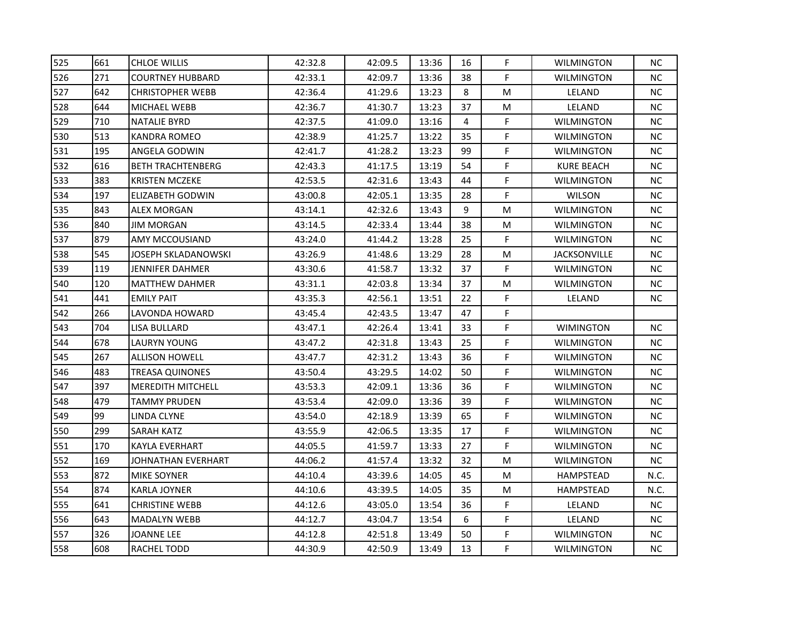| 525 | 661 | <b>CHLOE WILLIS</b>      | 42:32.8 | 42:09.5 | 13:36 | 16 | F  | <b>WILMINGTON</b>   | <b>NC</b> |
|-----|-----|--------------------------|---------|---------|-------|----|----|---------------------|-----------|
| 526 | 271 | <b>COURTNEY HUBBARD</b>  | 42:33.1 | 42:09.7 | 13:36 | 38 | F  | <b>WILMINGTON</b>   | NC.       |
| 527 | 642 | <b>CHRISTOPHER WEBB</b>  | 42:36.4 | 41:29.6 | 13:23 | 8  | M  | LELAND              | <b>NC</b> |
| 528 | 644 | <b>MICHAEL WEBB</b>      | 42:36.7 | 41:30.7 | 13:23 | 37 | M  | LELAND              | <b>NC</b> |
| 529 | 710 | <b>NATALIE BYRD</b>      | 42:37.5 | 41:09.0 | 13:16 | 4  | F  | <b>WILMINGTON</b>   | NС        |
| 530 | 513 | KANDRA ROMEO             | 42:38.9 | 41:25.7 | 13:22 | 35 | F  | <b>WILMINGTON</b>   | NС        |
| 531 | 195 | <b>ANGELA GODWIN</b>     | 42:41.7 | 41:28.2 | 13:23 | 99 | F  | <b>WILMINGTON</b>   | NC        |
| 532 | 616 | <b>BETH TRACHTENBERG</b> | 42:43.3 | 41:17.5 | 13:19 | 54 | F  | <b>KURE BEACH</b>   | NC        |
| 533 | 383 | <b>KRISTEN MCZEKE</b>    | 42:53.5 | 42:31.6 | 13:43 | 44 | F  | <b>WILMINGTON</b>   | <b>NC</b> |
| 534 | 197 | ELIZABETH GODWIN         | 43:00.8 | 42:05.1 | 13:35 | 28 | F  | <b>WILSON</b>       | <b>NC</b> |
| 535 | 843 | <b>ALEX MORGAN</b>       | 43:14.1 | 42:32.6 | 13:43 | 9  | М  | <b>WILMINGTON</b>   | <b>NC</b> |
| 536 | 840 | <b>JIM MORGAN</b>        | 43:14.5 | 42:33.4 | 13:44 | 38 | М  | <b>WILMINGTON</b>   | <b>NC</b> |
| 537 | 879 | <b>AMY MCCOUSIAND</b>    | 43:24.0 | 41:44.2 | 13:28 | 25 | F. | <b>WILMINGTON</b>   | <b>NC</b> |
| 538 | 545 | JOSEPH SKLADANOWSKI      | 43:26.9 | 41:48.6 | 13:29 | 28 | М  | <b>JACKSONVILLE</b> | NC        |
| 539 | 119 | <b>JENNIFER DAHMER</b>   | 43:30.6 | 41:58.7 | 13:32 | 37 | F  | <b>WILMINGTON</b>   | NC        |
| 540 | 120 | MATTHEW DAHMER           | 43:31.1 | 42:03.8 | 13:34 | 37 | M  | <b>WILMINGTON</b>   | NC.       |
| 541 | 441 | <b>EMILY PAIT</b>        | 43:35.3 | 42:56.1 | 13:51 | 22 | F  | LELAND              | <b>NC</b> |
| 542 | 266 | LAVONDA HOWARD           | 43:45.4 | 42:43.5 | 13:47 | 47 | F  |                     |           |
| 543 | 704 | LISA BULLARD             | 43:47.1 | 42:26.4 | 13:41 | 33 | F  | <b>WIMINGTON</b>    | <b>NC</b> |
| 544 | 678 | <b>LAURYN YOUNG</b>      | 43:47.2 | 42:31.8 | 13:43 | 25 | F  | <b>WILMINGTON</b>   | NC.       |
| 545 | 267 | <b>ALLISON HOWELL</b>    | 43:47.7 | 42:31.2 | 13:43 | 36 | F  | <b>WILMINGTON</b>   | NC        |
| 546 | 483 | <b>TREASA QUINONES</b>   | 43:50.4 | 43:29.5 | 14:02 | 50 | F  | <b>WILMINGTON</b>   | <b>NC</b> |
| 547 | 397 | <b>MEREDITH MITCHELL</b> | 43:53.3 | 42:09.1 | 13:36 | 36 | F  | <b>WILMINGTON</b>   | <b>NC</b> |
| 548 | 479 | <b>TAMMY PRUDEN</b>      | 43:53.4 | 42:09.0 | 13:36 | 39 | F  | <b>WILMINGTON</b>   | <b>NC</b> |
| 549 | 99  | LINDA CLYNE              | 43:54.0 | 42:18.9 | 13:39 | 65 | F  | <b>WILMINGTON</b>   | NC        |
| 550 | 299 | SARAH KATZ               | 43:55.9 | 42:06.5 | 13:35 | 17 | F  | <b>WILMINGTON</b>   | NС        |
| 551 | 170 | <b>KAYLA EVERHART</b>    | 44:05.5 | 41:59.7 | 13:33 | 27 | F  | <b>WILMINGTON</b>   | NC        |
| 552 | 169 | JOHNATHAN EVERHART       | 44:06.2 | 41:57.4 | 13:32 | 32 | М  | <b>WILMINGTON</b>   | <b>NC</b> |
| 553 | 872 | <b>MIKE SOYNER</b>       | 44:10.4 | 43:39.6 | 14:05 | 45 | М  | HAMPSTEAD           | N.C.      |
| 554 | 874 | <b>KARLA JOYNER</b>      | 44:10.6 | 43:39.5 | 14:05 | 35 | М  | <b>HAMPSTEAD</b>    | N.C.      |
| 555 | 641 | <b>CHRISTINE WEBB</b>    | 44:12.6 | 43:05.0 | 13:54 | 36 | F  | LELAND              | <b>NC</b> |
| 556 | 643 | <b>MADALYN WEBB</b>      | 44:12.7 | 43:04.7 | 13:54 | 6  | F  | LELAND              | <b>NC</b> |
| 557 | 326 | <b>JOANNE LEE</b>        | 44:12.8 | 42:51.8 | 13:49 | 50 | F  | <b>WILMINGTON</b>   | <b>NC</b> |
| 558 | 608 | RACHEL TODD              | 44:30.9 | 42:50.9 | 13:49 | 13 | F  | <b>WILMINGTON</b>   | <b>NC</b> |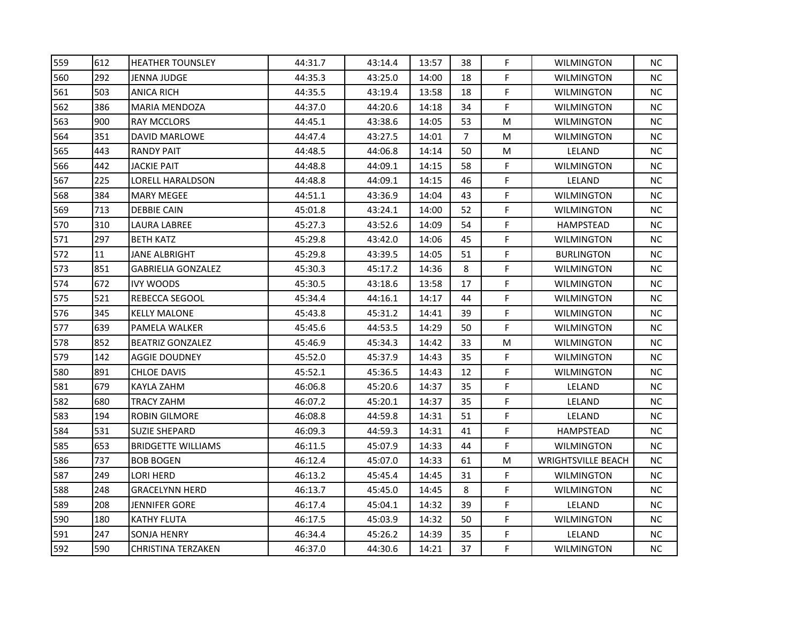| 559 | 612 | <b>HEATHER TOUNSLEY</b>   | 44:31.7 | 43:14.4 | 13:57 | 38             | F. | <b>WILMINGTON</b>         | NC.       |
|-----|-----|---------------------------|---------|---------|-------|----------------|----|---------------------------|-----------|
| 560 | 292 | JENNA JUDGE               | 44:35.3 | 43:25.0 | 14:00 | 18             | F. | <b>WILMINGTON</b>         | NC.       |
| 561 | 503 | <b>ANICA RICH</b>         | 44:35.5 | 43:19.4 | 13:58 | 18             | F. | <b>WILMINGTON</b>         | NC.       |
| 562 | 386 | <b>MARIA MENDOZA</b>      | 44:37.0 | 44:20.6 | 14:18 | 34             | F  | <b>WILMINGTON</b>         | NC.       |
| 563 | 900 | <b>RAY MCCLORS</b>        | 44:45.1 | 43:38.6 | 14:05 | 53             | М  | <b>WILMINGTON</b>         | NC.       |
| 564 | 351 | <b>DAVID MARLOWE</b>      | 44:47.4 | 43:27.5 | 14:01 | $\overline{7}$ | M  | <b>WILMINGTON</b>         | NC.       |
| 565 | 443 | <b>RANDY PAIT</b>         | 44:48.5 | 44:06.8 | 14:14 | 50             | M  | LELAND                    | NC.       |
| 566 | 442 | JACKIE PAIT               | 44:48.8 | 44:09.1 | 14:15 | 58             | F  | <b>WILMINGTON</b>         | NC.       |
| 567 | 225 | LORELL HARALDSON          | 44:48.8 | 44:09.1 | 14:15 | 46             | F  | LELAND                    | NC.       |
| 568 | 384 | <b>MARY MEGEE</b>         | 44:51.1 | 43:36.9 | 14:04 | 43             | F. | <b>WILMINGTON</b>         | NC.       |
| 569 | 713 | <b>DEBBIE CAIN</b>        | 45:01.8 | 43:24.1 | 14:00 | 52             | F. | <b>WILMINGTON</b>         | NC.       |
| 570 | 310 | <b>LAURA LABREE</b>       | 45:27.3 | 43:52.6 | 14:09 | 54             | F. | HAMPSTEAD                 | NC.       |
| 571 | 297 | <b>BETH KATZ</b>          | 45:29.8 | 43:42.0 | 14:06 | 45             | F. | <b>WILMINGTON</b>         | NC.       |
| 572 | 11  | JANE ALBRIGHT             | 45:29.8 | 43:39.5 | 14:05 | 51             | F  | <b>BURLINGTON</b>         | NC.       |
| 573 | 851 | <b>GABRIELIA GONZALEZ</b> | 45:30.3 | 45:17.2 | 14:36 | 8              | F  | <b>WILMINGTON</b>         | NC.       |
| 574 | 672 | <b>IVY WOODS</b>          | 45:30.5 | 43:18.6 | 13:58 | 17             | F. | <b>WILMINGTON</b>         | NC.       |
| 575 | 521 | <b>REBECCA SEGOOL</b>     | 45:34.4 | 44:16.1 | 14:17 | 44             | F  | <b>WILMINGTON</b>         | NC.       |
| 576 | 345 | <b>KELLY MALONE</b>       | 45:43.8 | 45:31.2 | 14:41 | 39             | F. | <b>WILMINGTON</b>         | NC.       |
| 577 | 639 | PAMELA WALKER             | 45:45.6 | 44:53.5 | 14:29 | 50             | F. | <b>WILMINGTON</b>         | NC.       |
| 578 | 852 | <b>BEATRIZ GONZALEZ</b>   | 45:46.9 | 45:34.3 | 14:42 | 33             | М  | <b>WILMINGTON</b>         | <b>NC</b> |
| 579 | 142 | AGGIE DOUDNEY             | 45:52.0 | 45:37.9 | 14:43 | 35             | F  | <b>WILMINGTON</b>         | NC.       |
| 580 | 891 | <b>CHLOE DAVIS</b>        | 45:52.1 | 45:36.5 | 14:43 | 12             | F. | <b>WILMINGTON</b>         | NC.       |
| 581 | 679 | KAYLA ZAHM                | 46:06.8 | 45:20.6 | 14:37 | 35             | F  | LELAND                    | NC.       |
| 582 | 680 | <b>TRACY ZAHM</b>         | 46:07.2 | 45:20.1 | 14:37 | 35             | F. | LELAND                    | NC.       |
| 583 | 194 | <b>ROBIN GILMORE</b>      | 46:08.8 | 44:59.8 | 14:31 | 51             | F. | LELAND                    | <b>NC</b> |
| 584 | 531 | <b>SUZIE SHEPARD</b>      | 46:09.3 | 44:59.3 | 14:31 | 41             | F. | <b>HAMPSTEAD</b>          | NC.       |
| 585 | 653 | <b>BRIDGETTE WILLIAMS</b> | 46:11.5 | 45:07.9 | 14:33 | 44             | F. | <b>WILMINGTON</b>         | NC.       |
| 586 | 737 | <b>BOB BOGEN</b>          | 46:12.4 | 45:07.0 | 14:33 | 61             | M  | <b>WRIGHTSVILLE BEACH</b> | NC.       |
| 587 | 249 | LORI HERD                 | 46:13.2 | 45:45.4 | 14:45 | 31             | F. | <b>WILMINGTON</b>         | NC.       |
| 588 | 248 | <b>GRACELYNN HERD</b>     | 46:13.7 | 45:45.0 | 14:45 | 8              | F  | <b>WILMINGTON</b>         | NC.       |
| 589 | 208 | <b>JENNIFER GORE</b>      | 46:17.4 | 45:04.1 | 14:32 | 39             | F  | LELAND                    | NC.       |
| 590 | 180 | <b>KATHY FLUTA</b>        | 46:17.5 | 45:03.9 | 14:32 | 50             | F. | <b>WILMINGTON</b>         | NC.       |
| 591 | 247 | SONJA HENRY               | 46:34.4 | 45:26.2 | 14:39 | 35             | F  | LELAND                    | NC.       |
| 592 | 590 | <b>CHRISTINA TERZAKEN</b> | 46:37.0 | 44:30.6 | 14:21 | 37             | F. | <b>WILMINGTON</b>         | NC.       |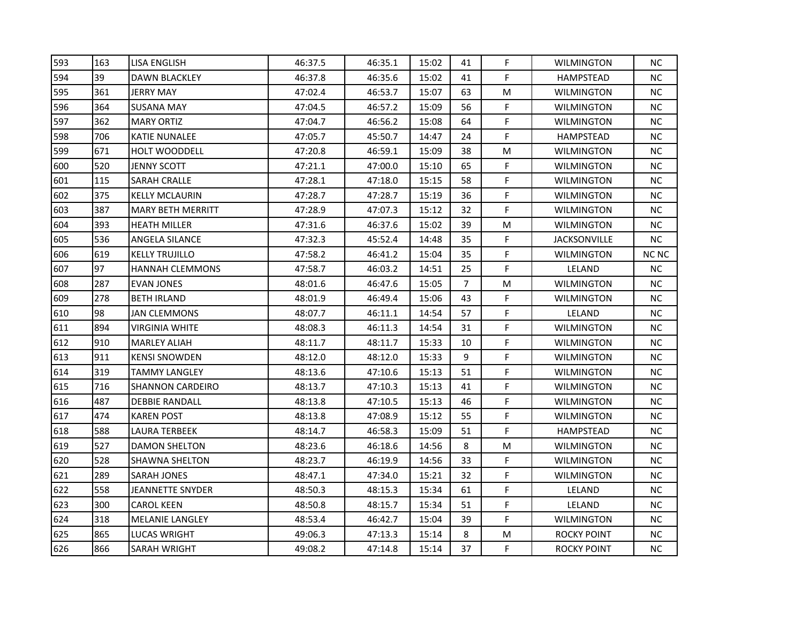| 593 | 163 | <b>LISA ENGLISH</b>      | 46:37.5 | 46:35.1 | 15:02 | 41             | F  | <b>WILMINGTON</b>   | ΝC           |
|-----|-----|--------------------------|---------|---------|-------|----------------|----|---------------------|--------------|
| 594 | 39  | <b>DAWN BLACKLEY</b>     | 46:37.8 | 46:35.6 | 15:02 | 41             | F  | <b>HAMPSTEAD</b>    | ΝC           |
| 595 | 361 | <b>JERRY MAY</b>         | 47:02.4 | 46:53.7 | 15:07 | 63             | M  | <b>WILMINGTON</b>   | <b>NC</b>    |
| 596 | 364 | <b>SUSANA MAY</b>        | 47:04.5 | 46:57.2 | 15:09 | 56             | F  | <b>WILMINGTON</b>   | NC           |
| 597 | 362 | <b>MARY ORTIZ</b>        | 47:04.7 | 46:56.2 | 15:08 | 64             | F  | <b>WILMINGTON</b>   | NС           |
| 598 | 706 | KATIE NUNALEE            | 47:05.7 | 45:50.7 | 14:47 | 24             | F  | HAMPSTEAD           | NС           |
| 599 | 671 | <b>HOLT WOODDELL</b>     | 47:20.8 | 46:59.1 | 15:09 | 38             | M  | <b>WILMINGTON</b>   | NС           |
| 600 | 520 | <b>JENNY SCOTT</b>       | 47:21.1 | 47:00.0 | 15:10 | 65             | F. | <b>WILMINGTON</b>   | <b>NC</b>    |
| 601 | 115 | <b>SARAH CRALLE</b>      | 47:28.1 | 47:18.0 | 15:15 | 58             | F  | <b>WILMINGTON</b>   | <b>NC</b>    |
| 602 | 375 | <b>KELLY MCLAURIN</b>    | 47:28.7 | 47:28.7 | 15:19 | 36             | F  | <b>WILMINGTON</b>   | NС           |
| 603 | 387 | <b>MARY BETH MERRITT</b> | 47:28.9 | 47:07.3 | 15:12 | 32             | F  | <b>WILMINGTON</b>   | NC           |
| 604 | 393 | <b>HEATH MILLER</b>      | 47:31.6 | 46:37.6 | 15:02 | 39             | M  | <b>WILMINGTON</b>   | NC           |
| 605 | 536 | <b>ANGELA SILANCE</b>    | 47:32.3 | 45:52.4 | 14:48 | 35             | F  | <b>JACKSONVILLE</b> | <b>NC</b>    |
| 606 | 619 | <b>KELLY TRUJILLO</b>    | 47:58.2 | 46:41.2 | 15:04 | 35             | F  | <b>WILMINGTON</b>   | <b>NC NC</b> |
| 607 | 97  | <b>HANNAH CLEMMONS</b>   | 47:58.7 | 46:03.2 | 14:51 | 25             | F  | LELAND              | <b>NC</b>    |
| 608 | 287 | EVAN JONES               | 48:01.6 | 46:47.6 | 15:05 | $\overline{7}$ | M  | WILMINGTON          | NС           |
| 609 | 278 | <b>BETH IRLAND</b>       | 48:01.9 | 46:49.4 | 15:06 | 43             | F  | <b>WILMINGTON</b>   | NC           |
| 610 | 98  | <b>JAN CLEMMONS</b>      | 48:07.7 | 46:11.1 | 14:54 | 57             | F  | LELAND              | <b>NC</b>    |
| 611 | 894 | <b>VIRGINIA WHITE</b>    | 48:08.3 | 46:11.3 | 14:54 | 31             | F  | <b>WILMINGTON</b>   | <b>NC</b>    |
| 612 | 910 | <b>MARLEY ALIAH</b>      | 48:11.7 | 48:11.7 | 15:33 | 10             | F  | <b>WILMINGTON</b>   | NC           |
| 613 | 911 | <b>KENSI SNOWDEN</b>     | 48:12.0 | 48:12.0 | 15:33 | 9              | F  | <b>WILMINGTON</b>   | NС           |
| 614 | 319 | <b>TAMMY LANGLEY</b>     | 48:13.6 | 47:10.6 | 15:13 | 51             | F  | <b>WILMINGTON</b>   | <b>NC</b>    |
| 615 | 716 | <b>SHANNON CARDEIRO</b>  | 48:13.7 | 47:10.3 | 15:13 | 41             | F  | <b>WILMINGTON</b>   | <b>NC</b>    |
| 616 | 487 | <b>DEBBIE RANDALL</b>    | 48:13.8 | 47:10.5 | 15:13 | 46             | F  | <b>WILMINGTON</b>   | <b>NC</b>    |
| 617 | 474 | <b>KAREN POST</b>        | 48:13.8 | 47:08.9 | 15:12 | 55             | F  | <b>WILMINGTON</b>   | NC           |
| 618 | 588 | LAURA TERBEEK            | 48:14.7 | 46:58.3 | 15:09 | 51             | F  | HAMPSTEAD           | NС           |
| 619 | 527 | DAMON SHELTON            | 48:23.6 | 46:18.6 | 14:56 | 8              | M  | <b>WILMINGTON</b>   | NC           |
| 620 | 528 | <b>SHAWNA SHELTON</b>    | 48:23.7 | 46:19.9 | 14:56 | 33             | F  | <b>WILMINGTON</b>   | <b>NC</b>    |
| 621 | 289 | <b>SARAH JONES</b>       | 48:47.1 | 47:34.0 | 15:21 | 32             | F  | <b>WILMINGTON</b>   | <b>NC</b>    |
| 622 | 558 | JEANNETTE SNYDER         | 48:50.3 | 48:15.3 | 15:34 | 61             | F  | LELAND              | NC           |
| 623 | 300 | <b>CAROL KEEN</b>        | 48:50.8 | 48:15.7 | 15:34 | 51             | F  | LELAND              | NC           |
| 624 | 318 | <b>MELANIE LANGLEY</b>   | 48:53.4 | 46:42.7 | 15:04 | 39             | F  | <b>WILMINGTON</b>   | NC           |
| 625 | 865 | <b>LUCAS WRIGHT</b>      | 49:06.3 | 47:13.3 | 15:14 | 8              | M  | <b>ROCKY POINT</b>  | <b>NC</b>    |
| 626 | 866 | <b>SARAH WRIGHT</b>      | 49:08.2 | 47:14.8 | 15:14 | 37             | F  | ROCKY POINT         | NC.          |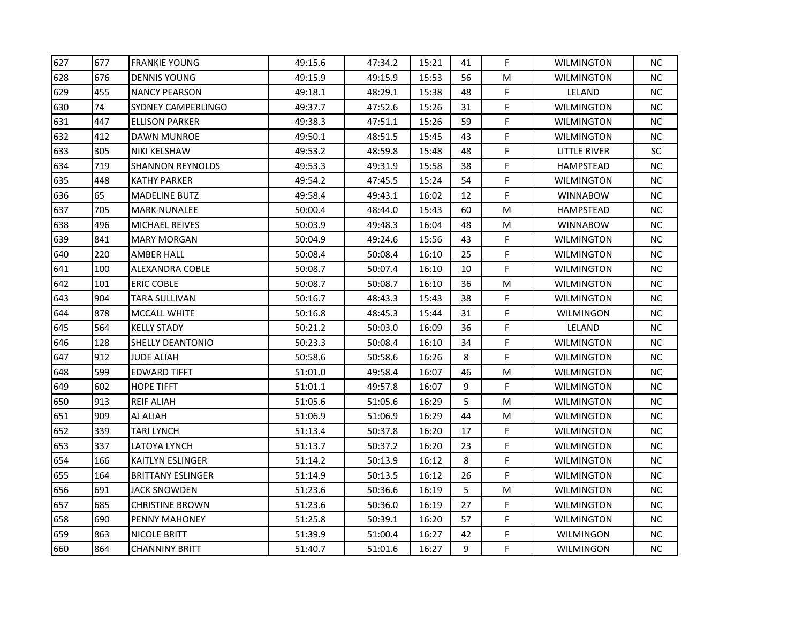| 627 | 677 | <b>FRANKIE YOUNG</b>      | 49:15.6 | 47:34.2 | 15:21 | 41 | F. | <b>WILMINGTON</b> | NС        |
|-----|-----|---------------------------|---------|---------|-------|----|----|-------------------|-----------|
| 628 | 676 | <b>DENNIS YOUNG</b>       | 49:15.9 | 49:15.9 | 15:53 | 56 | М  | <b>WILMINGTON</b> | NC.       |
| 629 | 455 | <b>NANCY PEARSON</b>      | 49:18.1 | 48:29.1 | 15:38 | 48 | F  | LELAND            | <b>NC</b> |
| 630 | 74  | <b>SYDNEY CAMPERLINGO</b> | 49:37.7 | 47:52.6 | 15:26 | 31 | F  | WILMINGTON        | <b>NC</b> |
| 631 | 447 | <b>ELLISON PARKER</b>     | 49:38.3 | 47:51.1 | 15:26 | 59 | F  | <b>WILMINGTON</b> | NC.       |
| 632 | 412 | DAWN MUNROE               | 49:50.1 | 48:51.5 | 15:45 | 43 | F  | WILMINGTON        | NС        |
| 633 | 305 | <b>NIKI KELSHAW</b>       | 49:53.2 | 48:59.8 | 15:48 | 48 | F  | LITTLE RIVER      | SC        |
| 634 | 719 | <b>SHANNON REYNOLDS</b>   | 49:53.3 | 49:31.9 | 15:58 | 38 | F  | <b>HAMPSTEAD</b>  | <b>NC</b> |
| 635 | 448 | <b>KATHY PARKER</b>       | 49:54.2 | 47:45.5 | 15:24 | 54 | F  | WILMINGTON        | <b>NC</b> |
| 636 | 65  | <b>MADELINE BUTZ</b>      | 49:58.4 | 49:43.1 | 16:02 | 12 | F  | <b>WINNABOW</b>   | <b>NC</b> |
| 637 | 705 | <b>MARK NUNALEE</b>       | 50:00.4 | 48:44.0 | 15:43 | 60 | М  | <b>HAMPSTEAD</b>  | <b>NC</b> |
| 638 | 496 | <b>MICHAEL REIVES</b>     | 50:03.9 | 49:48.3 | 16:04 | 48 | М  | <b>WINNABOW</b>   | <b>NC</b> |
| 639 | 841 | <b>MARY MORGAN</b>        | 50:04.9 | 49:24.6 | 15:56 | 43 | F  | <b>WILMINGTON</b> | <b>NC</b> |
| 640 | 220 | <b>AMBER HALL</b>         | 50:08.4 | 50:08.4 | 16:10 | 25 | F  | <b>WILMINGTON</b> | <b>NC</b> |
| 641 | 100 | ALEXANDRA COBLE           | 50:08.7 | 50:07.4 | 16:10 | 10 | F. | <b>WILMINGTON</b> | <b>NC</b> |
| 642 | 101 | <b>ERIC COBLE</b>         | 50:08.7 | 50:08.7 | 16:10 | 36 | M  | WILMINGTON        | <b>NC</b> |
| 643 | 904 | TARA SULLIVAN             | 50:16.7 | 48:43.3 | 15:43 | 38 | F  | WILMINGTON        | <b>NC</b> |
| 644 | 878 | <b>MCCALL WHITE</b>       | 50:16.8 | 48:45.3 | 15:44 | 31 | F  | <b>WILMINGON</b>  | <b>NC</b> |
| 645 | 564 | <b>KELLY STADY</b>        | 50:21.2 | 50:03.0 | 16:09 | 36 | F  | LELAND            | <b>NC</b> |
| 646 | 128 | SHELLY DEANTONIO          | 50:23.3 | 50:08.4 | 16:10 | 34 | F  | WILMINGTON        | <b>NC</b> |
| 647 | 912 | <b>JUDE ALIAH</b>         | 50:58.6 | 50:58.6 | 16:26 | 8  | F  | <b>WILMINGTON</b> | ΝC        |
| 648 | 599 | <b>EDWARD TIFFT</b>       | 51:01.0 | 49:58.4 | 16:07 | 46 | М  | <b>WILMINGTON</b> | <b>NC</b> |
| 649 | 602 | <b>HOPE TIFFT</b>         | 51:01.1 | 49:57.8 | 16:07 | 9  | F. | <b>WILMINGTON</b> | <b>NC</b> |
| 650 | 913 | <b>REIF ALIAH</b>         | 51:05.6 | 51:05.6 | 16:29 | 5  | M  | <b>WILMINGTON</b> | <b>NC</b> |
| 651 | 909 | AJ ALIAH                  | 51:06.9 | 51:06.9 | 16:29 | 44 | M  | <b>WILMINGTON</b> | <b>NC</b> |
| 652 | 339 | TARI LYNCH                | 51:13.4 | 50:37.8 | 16:20 | 17 | F  | <b>WILMINGTON</b> | <b>NC</b> |
| 653 | 337 | LATOYA LYNCH              | 51:13.7 | 50:37.2 | 16:20 | 23 | F  | WILMINGTON        | <b>NC</b> |
| 654 | 166 | KAITLYN ESLINGER          | 51:14.2 | 50:13.9 | 16:12 | 8  | F  | <b>WILMINGTON</b> | <b>NC</b> |
| 655 | 164 | <b>BRITTANY ESLINGER</b>  | 51:14.9 | 50:13.5 | 16:12 | 26 | F  | <b>WILMINGTON</b> | <b>NC</b> |
| 656 | 691 | <b>JACK SNOWDEN</b>       | 51:23.6 | 50:36.6 | 16:19 | 5  | M  | <b>WILMINGTON</b> | <b>NC</b> |
| 657 | 685 | <b>CHRISTINE BROWN</b>    | 51:23.6 | 50:36.0 | 16:19 | 27 | F  | <b>WILMINGTON</b> | <b>NC</b> |
| 658 | 690 | PENNY MAHONEY             | 51:25.8 | 50:39.1 | 16:20 | 57 | F  | WILMINGTON        | <b>NC</b> |
| 659 | 863 | <b>NICOLE BRITT</b>       | 51:39.9 | 51:00.4 | 16:27 | 42 | F  | <b>WILMINGON</b>  | <b>NC</b> |
| 660 | 864 | <b>CHANNINY BRITT</b>     | 51:40.7 | 51:01.6 | 16:27 | 9  | F  | <b>WILMINGON</b>  | <b>NC</b> |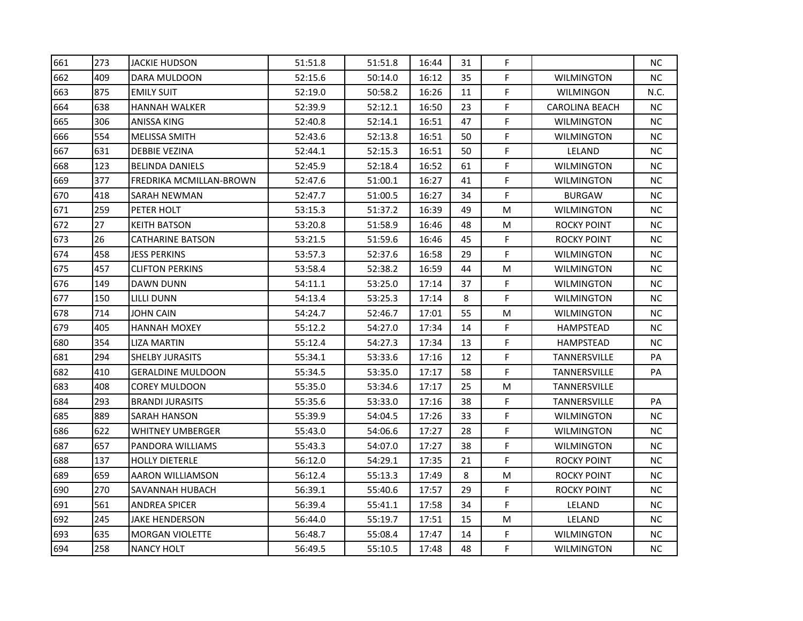| 661 | 273 | <b>JACKIE HUDSON</b>     | 51:51.8 | 51:51.8 | 16:44 | 31 | F  |                       | <b>NC</b> |
|-----|-----|--------------------------|---------|---------|-------|----|----|-----------------------|-----------|
| 662 | 409 | DARA MULDOON             | 52:15.6 | 50:14.0 | 16:12 | 35 | F  | <b>WILMINGTON</b>     | NC        |
| 663 | 875 | <b>EMILY SUIT</b>        | 52:19.0 | 50:58.2 | 16:26 | 11 | F. | <b>WILMINGON</b>      | N.C.      |
| 664 | 638 | <b>HANNAH WALKER</b>     | 52:39.9 | 52:12.1 | 16:50 | 23 | F  | <b>CAROLINA BEACH</b> | ΝC        |
| 665 | 306 | ANISSA KING              | 52:40.8 | 52:14.1 | 16:51 | 47 | F  | <b>WILMINGTON</b>     | ΝC        |
| 666 | 554 | <b>MELISSA SMITH</b>     | 52:43.6 | 52:13.8 | 16:51 | 50 | F  | <b>WILMINGTON</b>     | ΝC        |
| 667 | 631 | <b>DEBBIE VEZINA</b>     | 52:44.1 | 52:15.3 | 16:51 | 50 | F  | LELAND                | <b>NC</b> |
| 668 | 123 | <b>BELINDA DANIELS</b>   | 52:45.9 | 52:18.4 | 16:52 | 61 | F  | <b>WILMINGTON</b>     | ΝC        |
| 669 | 377 | FREDRIKA MCMILLAN-BROWN  | 52:47.6 | 51:00.1 | 16:27 | 41 | F  | <b>WILMINGTON</b>     | <b>NC</b> |
| 670 | 418 | <b>SARAH NEWMAN</b>      | 52:47.7 | 51:00.5 | 16:27 | 34 | F  | <b>BURGAW</b>         | <b>NC</b> |
| 671 | 259 | PETER HOLT               | 53:15.3 | 51:37.2 | 16:39 | 49 | M  | <b>WILMINGTON</b>     | ΝC        |
| 672 | 27  | <b>KEITH BATSON</b>      | 53:20.8 | 51:58.9 | 16:46 | 48 | М  | ROCKY POINT           | ΝC        |
| 673 | 26  | <b>CATHARINE BATSON</b>  | 53:21.5 | 51:59.6 | 16:46 | 45 | F  | ROCKY POINT           | <b>NC</b> |
| 674 | 458 | <b>JESS PERKINS</b>      | 53:57.3 | 52:37.6 | 16:58 | 29 | F  | <b>WILMINGTON</b>     | <b>NC</b> |
| 675 | 457 | <b>CLIFTON PERKINS</b>   | 53:58.4 | 52:38.2 | 16:59 | 44 | М  | <b>WILMINGTON</b>     | ΝC        |
| 676 | 149 | DAWN DUNN                | 54:11.1 | 53:25.0 | 17:14 | 37 | F  | <b>WILMINGTON</b>     | ΝC        |
| 677 | 150 | <b>LILLI DUNN</b>        | 54:13.4 | 53:25.3 | 17:14 | 8  | F  | <b>WILMINGTON</b>     | ΝC        |
| 678 | 714 | <b>JOHN CAIN</b>         | 54:24.7 | 52:46.7 | 17:01 | 55 | M  | <b>WILMINGTON</b>     | <b>NC</b> |
| 679 | 405 | lHANNAH MOXEY            | 55:12.2 | 54:27.0 | 17:34 | 14 | F  | HAMPSTEAD             | <b>NC</b> |
| 680 | 354 | <b>LIZA MARTIN</b>       | 55:12.4 | 54:27.3 | 17:34 | 13 | F  | <b>HAMPSTEAD</b>      | ΝC        |
| 681 | 294 | <b>SHELBY JURASITS</b>   | 55:34.1 | 53:33.6 | 17:16 | 12 | F  | TANNERSVILLE          | PA        |
| 682 | 410 | <b>GERALDINE MULDOON</b> | 55:34.5 | 53:35.0 | 17:17 | 58 | F  | TANNERSVILLE          | PA        |
| 683 | 408 | <b>COREY MULDOON</b>     | 55:35.0 | 53:34.6 | 17:17 | 25 | M  | TANNERSVILLE          |           |
| 684 | 293 | <b>BRANDI JURASITS</b>   | 55:35.6 | 53:33.0 | 17:16 | 38 | F  | TANNERSVILLE          | PA        |
| 685 | 889 | <b>SARAH HANSON</b>      | 55:39.9 | 54:04.5 | 17:26 | 33 | F  | <b>WILMINGTON</b>     | NС        |
| 686 | 622 | <b>WHITNEY UMBERGER</b>  | 55:43.0 | 54:06.6 | 17:27 | 28 | F  | <b>WILMINGTON</b>     | ΝC        |
| 687 | 657 | PANDORA WILLIAMS         | 55:43.3 | 54:07.0 | 17:27 | 38 | F  | <b>WILMINGTON</b>     | ΝC        |
| 688 | 137 | <b>HOLLY DIETERLE</b>    | 56:12.0 | 54:29.1 | 17:35 | 21 | F  | <b>ROCKY POINT</b>    | ΝC        |
| 689 | 659 | <b>AARON WILLIAMSON</b>  | 56:12.4 | 55:13.3 | 17:49 | 8  | М  | <b>ROCKY POINT</b>    | <b>NC</b> |
| 690 | 270 | SAVANNAH HUBACH          | 56:39.1 | 55:40.6 | 17:57 | 29 | F  | <b>ROCKY POINT</b>    | <b>NC</b> |
| 691 | 561 | <b>ANDREA SPICER</b>     | 56:39.4 | 55:41.1 | 17:58 | 34 | F  | LELAND                | ΝC        |
| 692 | 245 | <b>JAKE HENDERSON</b>    | 56:44.0 | 55:19.7 | 17:51 | 15 | М  | LELAND                | ΝC        |
| 693 | 635 | <b>MORGAN VIOLETTE</b>   | 56:48.7 | 55:08.4 | 17:47 | 14 | F  | <b>WILMINGTON</b>     | ΝC        |
| 694 | 258 | <b>NANCY HOLT</b>        | 56:49.5 | 55:10.5 | 17:48 | 48 | F  | <b>WILMINGTON</b>     | ΝC        |
|     |     |                          |         |         |       |    |    |                       |           |